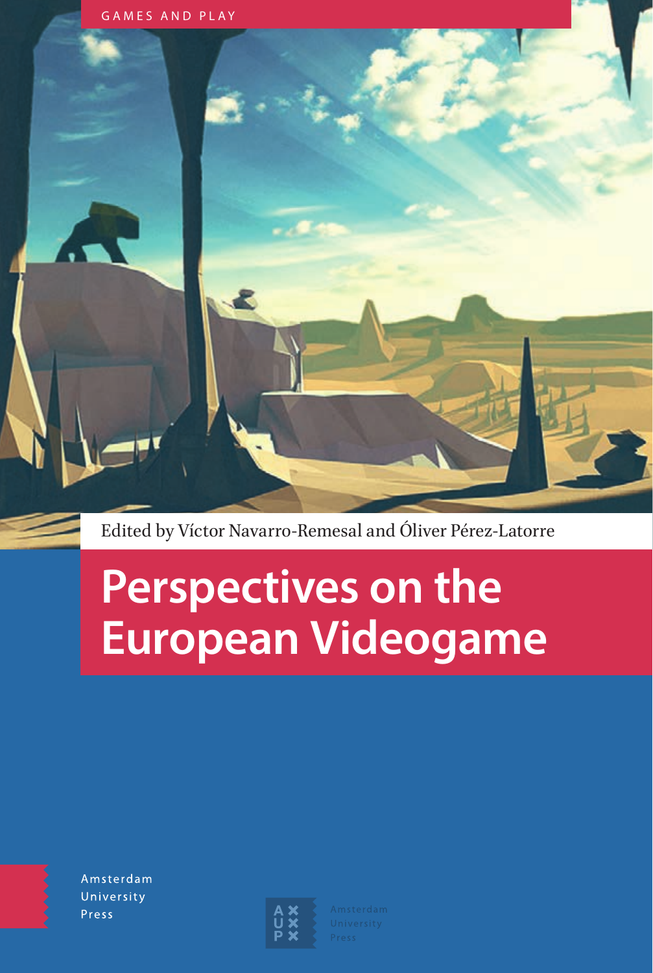

Edited by Víctor Navarro-Remesal and Óliver Pérez-Latorre

# **Perspectives on the European Videogame**

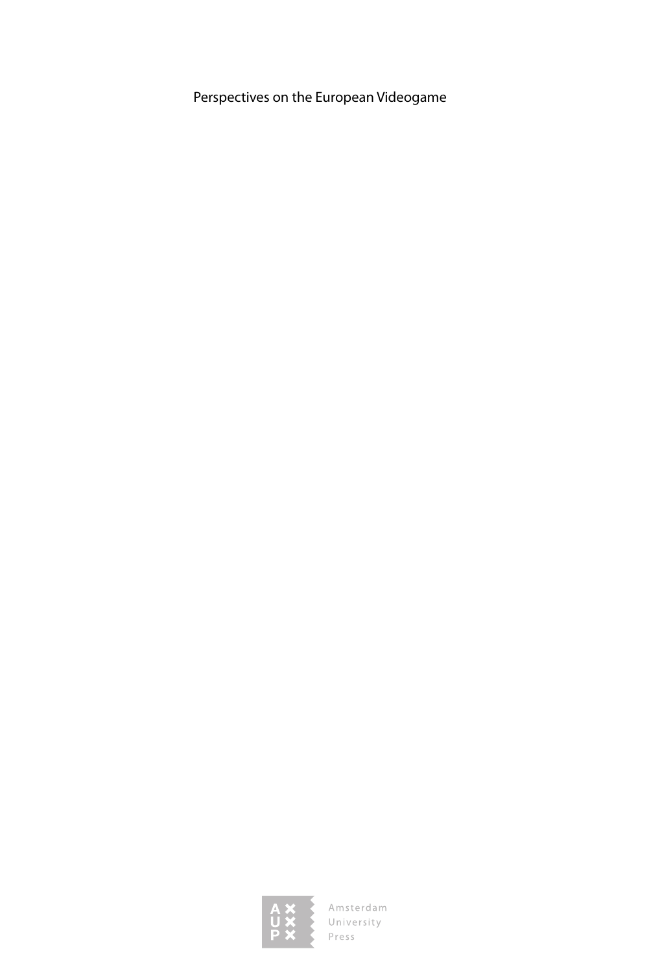Perspectives on the European Videogame

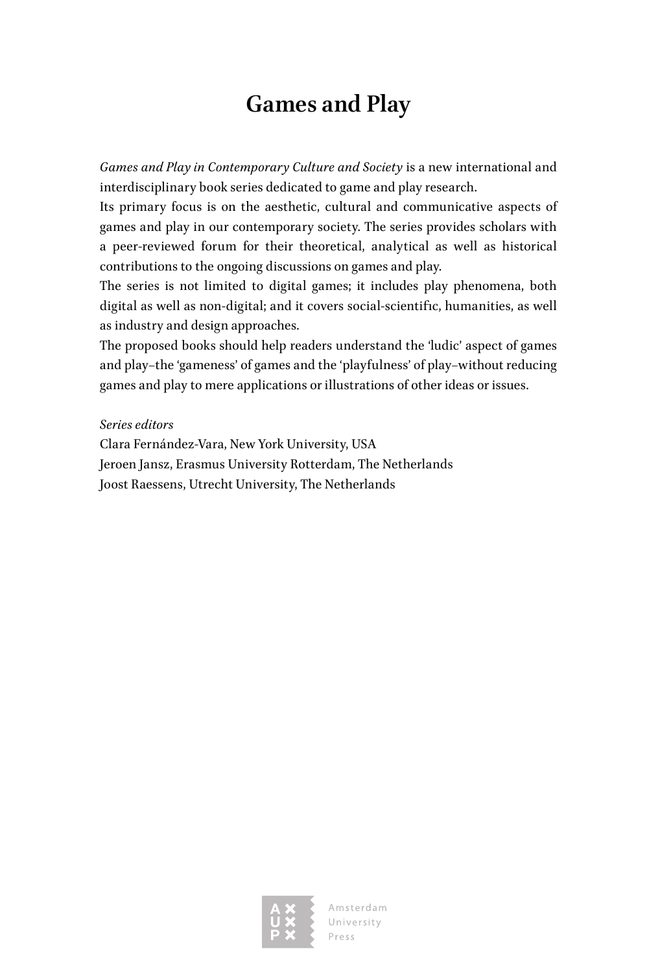# **Games and Play**

*Games and Play in Contemporary Culture and Society* is a new international and interdisciplinary book series dedicated to game and play research.

Its primary focus is on the aesthetic, cultural and communicative aspects of games and play in our contemporary society. The series provides scholars with a peer-reviewed forum for their theoretical, analytical as well as historical contributions to the ongoing discussions on games and play.

The series is not limited to digital games; it includes play phenomena, both digital as well as non-digital; and it covers social-scientific, humanities, as well as industry and design approaches.

The proposed books should help readers understand the 'ludic' aspect of games and play−the 'gameness' of games and the 'playfulness' of play−without reducing games and play to mere applications or illustrations of other ideas or issues.

*Series editors*

Clara Fernández-Vara, New York University, USA Jeroen Jansz, Erasmus University Rotterdam, The Netherlands Joost Raessens, Utrecht University, The Netherlands

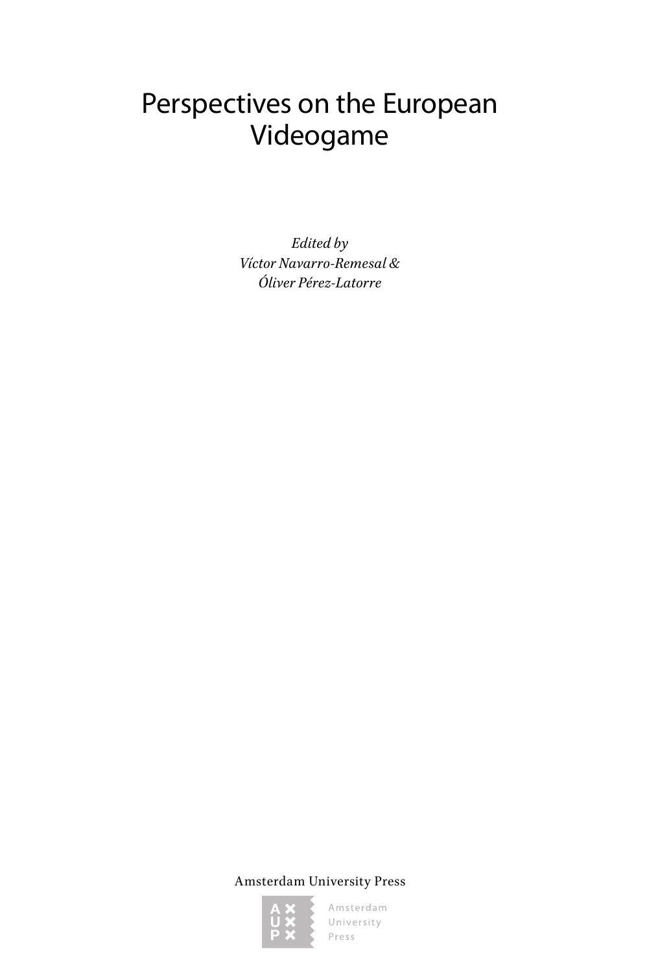# Perspectives on the European Videogame

*Edited by Víctor Navarro-Remesal & Óliver Pérez-Latorre*

Amsterdam University Press

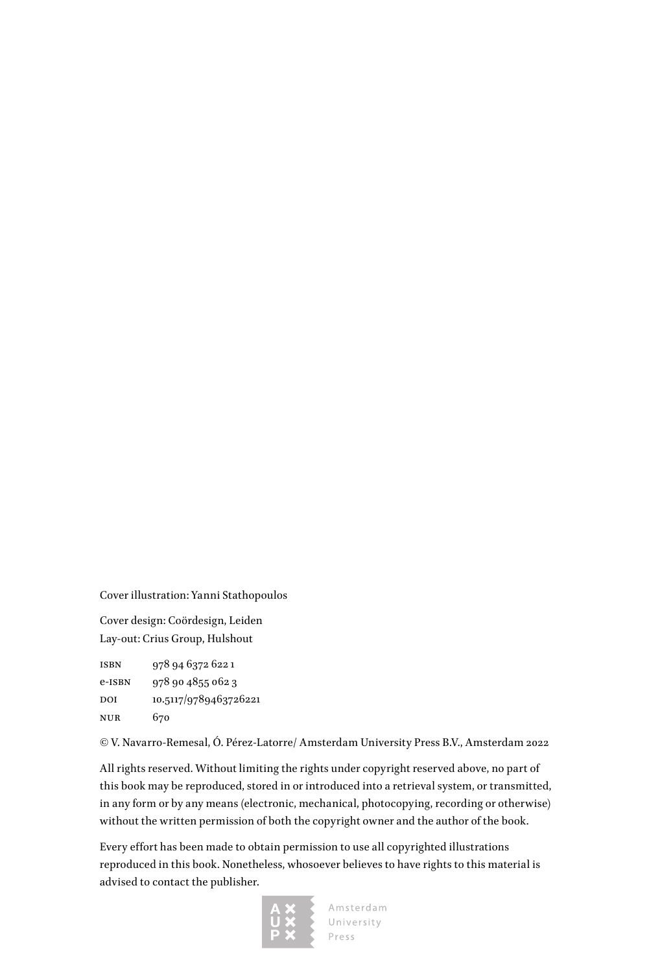Cover illustration: Yanni Stathopoulos

Cover design: Coördesign, Leiden Lay-out: Crius Group, Hulshout

isbn 978 94 6372 622 1 e-isbn 978 90 4855 062 3 DOI 10.5117/9789463726221 nur 670

© V. Navarro-Remesal, Ó. Pérez-Latorre/ Amsterdam University Press B.V., Amsterdam 2022

All rights reserved. Without limiting the rights under copyright reserved above, no part of this book may be reproduced, stored in or introduced into a retrieval system, or transmitted, in any form or by any means (electronic, mechanical, photocopying, recording or otherwise) without the written permission of both the copyright owner and the author of the book.

Every effort has been made to obtain permission to use all copyrighted illustrations reproduced in this book. Nonetheless, whosoever believes to have rights to this material is advised to contact the publisher.

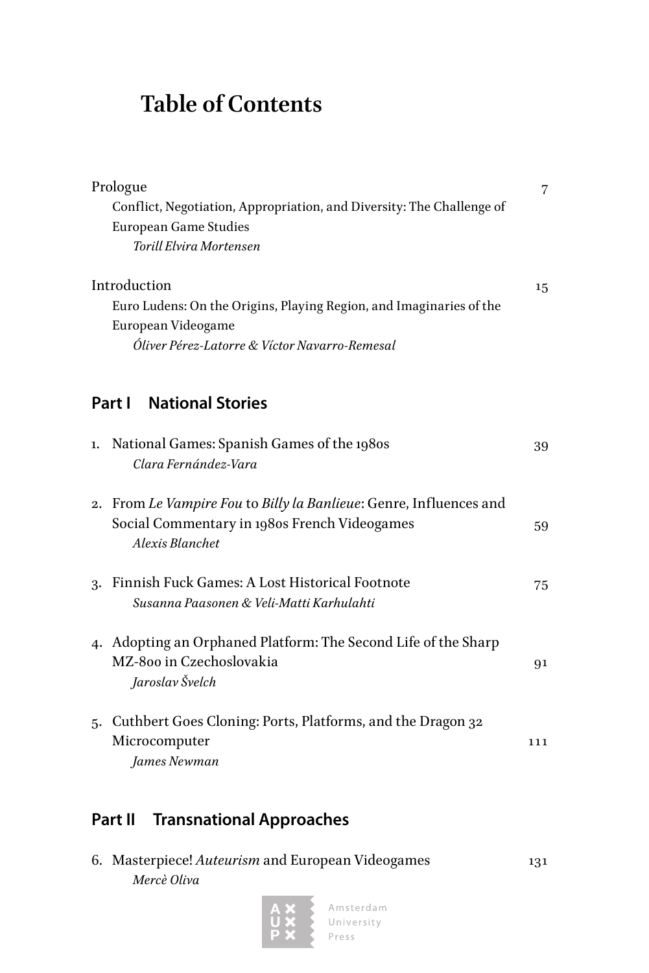# **Table of Contents**

|    | Prologue                                                                                                                              | 7   |
|----|---------------------------------------------------------------------------------------------------------------------------------------|-----|
|    | Conflict, Negotiation, Appropriation, and Diversity: The Challenge of                                                                 |     |
|    | <b>European Game Studies</b>                                                                                                          |     |
|    | Torill Elvira Mortensen                                                                                                               |     |
|    | Introduction                                                                                                                          | 15  |
|    | Euro Ludens: On the Origins, Playing Region, and Imaginaries of the                                                                   |     |
|    | European Videogame                                                                                                                    |     |
|    | Óliver Pérez-Latorre & Víctor Navarro-Remesal                                                                                         |     |
|    |                                                                                                                                       |     |
|    | <b>National Stories</b><br>Part I                                                                                                     |     |
| 1. | National Games: Spanish Games of the 1980s<br>Clara Fernández-Vara                                                                    | 39  |
|    | 2. From Le Vampire Fou to Billy la Banlieue: Genre, Influences and<br>Social Commentary in 1980s French Videogames<br>Alexis Blanchet | 59  |
|    | 3. Finnish Fuck Games: A Lost Historical Footnote<br>Susanna Paasonen & Veli-Matti Karhulahti                                         | 75  |
|    | 4. Adopting an Orphaned Platform: The Second Life of the Sharp<br>MZ-800 in Czechoslovakia<br>Jaroslav Švelch                         | 91  |
|    | 5. Cuthbert Goes Cloning: Ports, Platforms, and the Dragon 32<br>Microcomputer<br>James Newman                                        | 111 |

# **[Part II](#page--1-0) [Transnational Approaches](#page--1-0)**

| 6. Masterpiece! Auteurism and European Videogames |  | 131 |
|---------------------------------------------------|--|-----|
| Mercè Oliva                                       |  |     |
|                                                   |  |     |

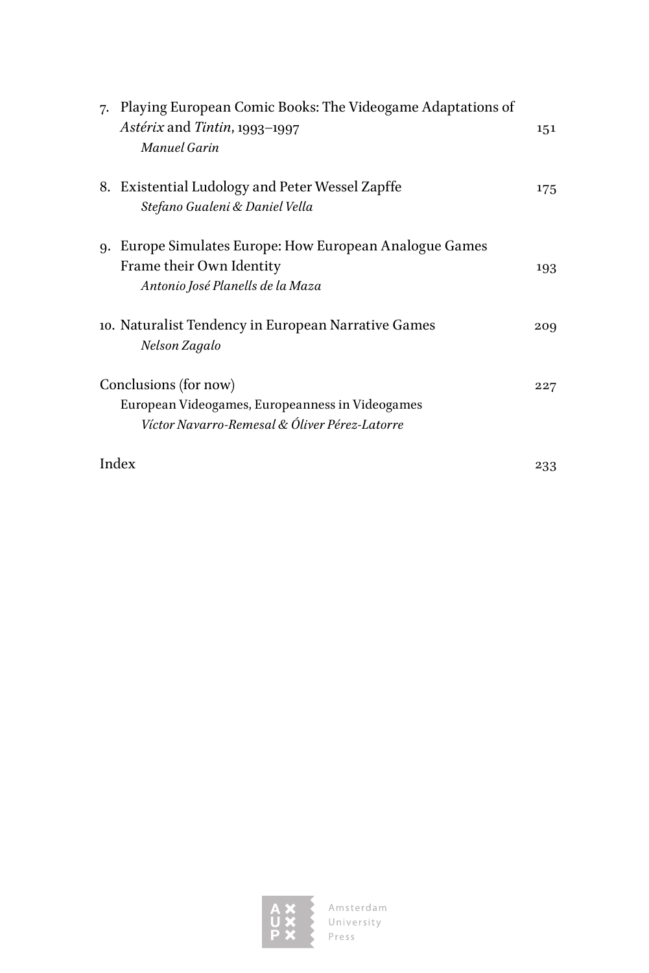| 7. | Playing European Comic Books: The Videogame Adaptations of<br>Astérix and Tintin, 1993-1997<br>Manuel Garin               | 151 |
|----|---------------------------------------------------------------------------------------------------------------------------|-----|
|    | 8. Existential Ludology and Peter Wessel Zapffe<br>Stefano Gualeni & Daniel Vella                                         | 175 |
| q. | Europe Simulates Europe: How European Analogue Games<br>Frame their Own Identity<br>Antonio José Planells de la Maza      | 193 |
|    | 10. Naturalist Tendency in European Narrative Games<br>Nelson Zagalo                                                      | 209 |
|    | Conclusions (for now)<br>European Videogames, Europeanness in Videogames<br>Víctor Navarro-Remesal & Óliver Pérez-Latorre | 227 |
|    | Index                                                                                                                     | 233 |

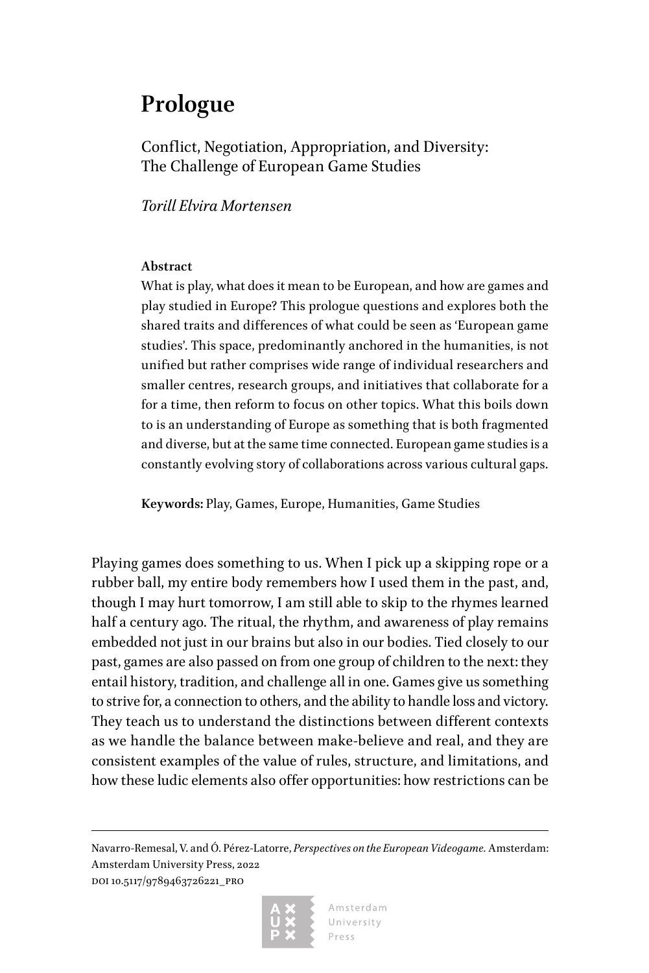# <span id="page-7-0"></span>**Prologue**

Conflict, Negotiation, Appropriation, and Diversity: The Challenge of European Game Studies

*Torill Elvira Mortensen*

## **Abstract**

What is play, what does it mean to be European, and how are games and play studied in Europe? This prologue questions and explores both the shared traits and differences of what could be seen as 'European game studies'. This space, predominantly anchored in the humanities, is not unified but rather comprises wide range of individual researchers and smaller centres, research groups, and initiatives that collaborate for a for a time, then reform to focus on other topics. What this boils down to is an understanding of Europe as something that is both fragmented and diverse, but at the same time connected. European game studies is a constantly evolving story of collaborations across various cultural gaps.

**Keywords:** Play, Games, Europe, Humanities, Game Studies

Playing games does something to us. When I pick up a skipping rope or a rubber ball, my entire body remembers how I used them in the past, and, though I may hurt tomorrow, I am still able to skip to the rhymes learned half a century ago. The ritual, the rhythm, and awareness of play remains embedded not just in our brains but also in our bodies. Tied closely to our past, games are also passed on from one group of children to the next: they entail history, tradition, and challenge all in one. Games give us something to strive for, a connection to others, and the ability to handle loss and victory. They teach us to understand the distinctions between different contexts as we handle the balance between make-believe and real, and they are consistent examples of the value of rules, structure, and limitations, and how these ludic elements also offer opportunities: how restrictions can be

Navarro-Remesal, V. and Ó. Pérez-Latorre, *Perspectives on the European Videogame.* Amsterdam: Amsterdam University Press, 2022 DOI 10.5117/9789463726221\_PRO

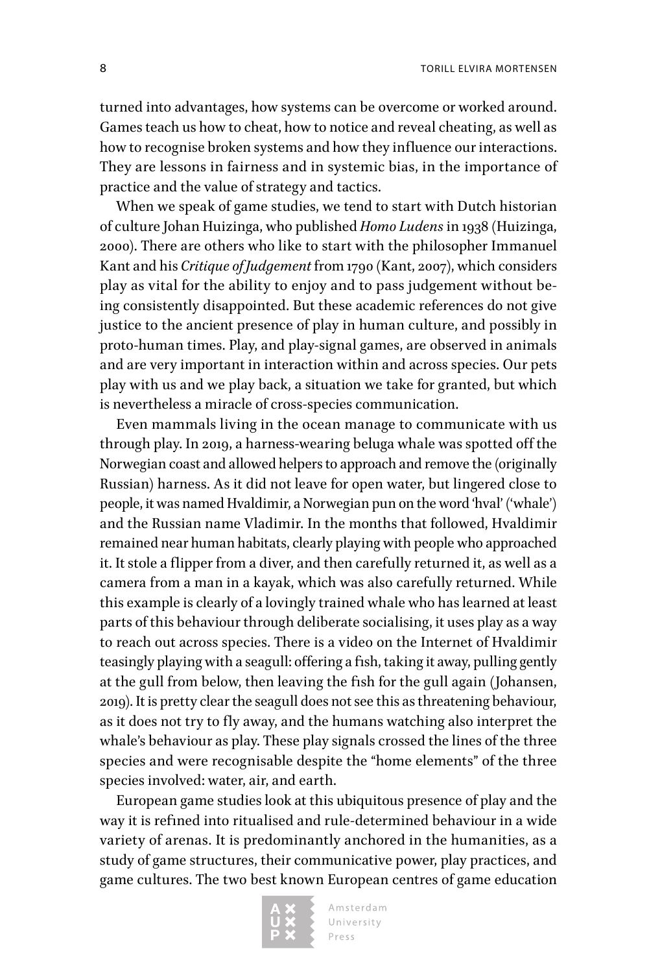turned into advantages, how systems can be overcome or worked around. Games teach us how to cheat, how to notice and reveal cheating, as well as how to recognise broken systems and how they influence our interactions. They are lessons in fairness and in systemic bias, in the importance of practice and the value of strategy and tactics.

When we speak of game studies, we tend to start with Dutch historian of culture Johan Huizinga, who published *Homo Ludens* in 1938 (Huizinga, 2000). There are others who like to start with the philosopher Immanuel Kant and his *Critique of Judgement* from 1790 (Kant, 2007), which considers play as vital for the ability to enjoy and to pass judgement without being consistently disappointed. But these academic references do not give justice to the ancient presence of play in human culture, and possibly in proto-human times. Play, and play-signal games, are observed in animals and are very important in interaction within and across species. Our pets play with us and we play back, a situation we take for granted, but which is nevertheless a miracle of cross-species communication.

Even mammals living in the ocean manage to communicate with us through play. In 2019, a harness-wearing beluga whale was spotted off the Norwegian coast and allowed helpers to approach and remove the (originally Russian) harness. As it did not leave for open water, but lingered close to people, it was named Hvaldimir, a Norwegian pun on the word 'hval' ('whale') and the Russian name Vladimir. In the months that followed, Hvaldimir remained near human habitats, clearly playing with people who approached it. It stole a flipper from a diver, and then carefully returned it, as well as a camera from a man in a kayak, which was also carefully returned. While this example is clearly of a lovingly trained whale who has learned at least parts of this behaviour through deliberate socialising, it uses play as a way to reach out across species. There is a video on the Internet of Hvaldimir teasingly playing with a seagull: offering a fish, taking it away, pulling gently at the gull from below, then leaving the fish for the gull again (Johansen, 2019). It is pretty clear the seagull does not see this as threatening behaviour, as it does not try to fly away, and the humans watching also interpret the whale's behaviour as play. These play signals crossed the lines of the three species and were recognisable despite the "home elements" of the three species involved: water, air, and earth.

European game studies look at this ubiquitous presence of play and the way it is refined into ritualised and rule-determined behaviour in a wide variety of arenas. It is predominantly anchored in the humanities, as a study of game structures, their communicative power, play practices, and game cultures. The two best known European centres of game education

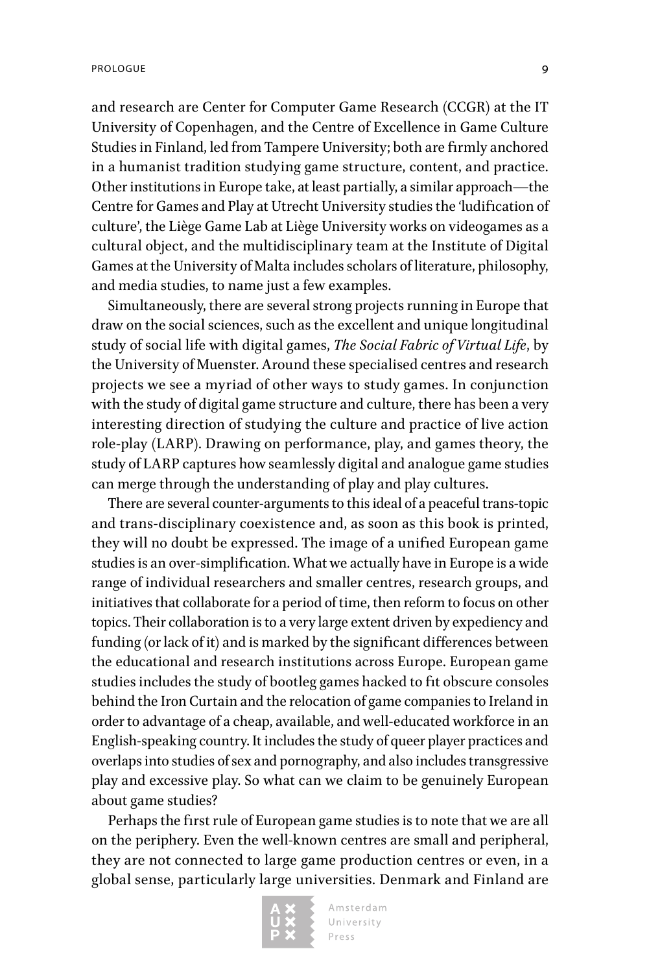and research are Center for Computer Game Research (CCGR) at the IT University of Copenhagen, and the Centre of Excellence in Game Culture Studies in Finland, led from Tampere University; both are firmly anchored in a humanist tradition studying game structure, content, and practice. Other institutions in Europe take, at least partially, a similar approach—the Centre for Games and Play at Utrecht University studies the 'ludification of culture', the Liège Game Lab at Liège University works on videogames as a cultural object, and the multidisciplinary team at the Institute of Digital Games at the University of Malta includes scholars of literature, philosophy, and media studies, to name just a few examples.

Simultaneously, there are several strong projects running in Europe that draw on the social sciences, such as the excellent and unique longitudinal study of social life with digital games, *The Social Fabric of Virtual Life*, by the University of Muenster. Around these specialised centres and research projects we see a myriad of other ways to study games. In conjunction with the study of digital game structure and culture, there has been a very interesting direction of studying the culture and practice of live action role-play (LARP). Drawing on performance, play, and games theory, the study of LARP captures how seamlessly digital and analogue game studies can merge through the understanding of play and play cultures.

There are several counter-arguments to this ideal of a peaceful trans-topic and trans-disciplinary coexistence and, as soon as this book is printed, they will no doubt be expressed. The image of a unified European game studies is an over-simplification. What we actually have in Europe is a wide range of individual researchers and smaller centres, research groups, and initiatives that collaborate for a period of time, then reform to focus on other topics. Their collaboration is to a very large extent driven by expediency and funding (or lack of it) and is marked by the significant differences between the educational and research institutions across Europe. European game studies includes the study of bootleg games hacked to fit obscure consoles behind the Iron Curtain and the relocation of game companies to Ireland in order to advantage of a cheap, available, and well-educated workforce in an English-speaking country. It includes the study of queer player practices and overlaps into studies of sex and pornography, and also includes transgressive play and excessive play. So what can we claim to be genuinely European about game studies?

Perhaps the first rule of European game studies is to note that we are all on the periphery. Even the well-known centres are small and peripheral, they are not connected to large game production centres or even, in a global sense, particularly large universities. Denmark and Finland are

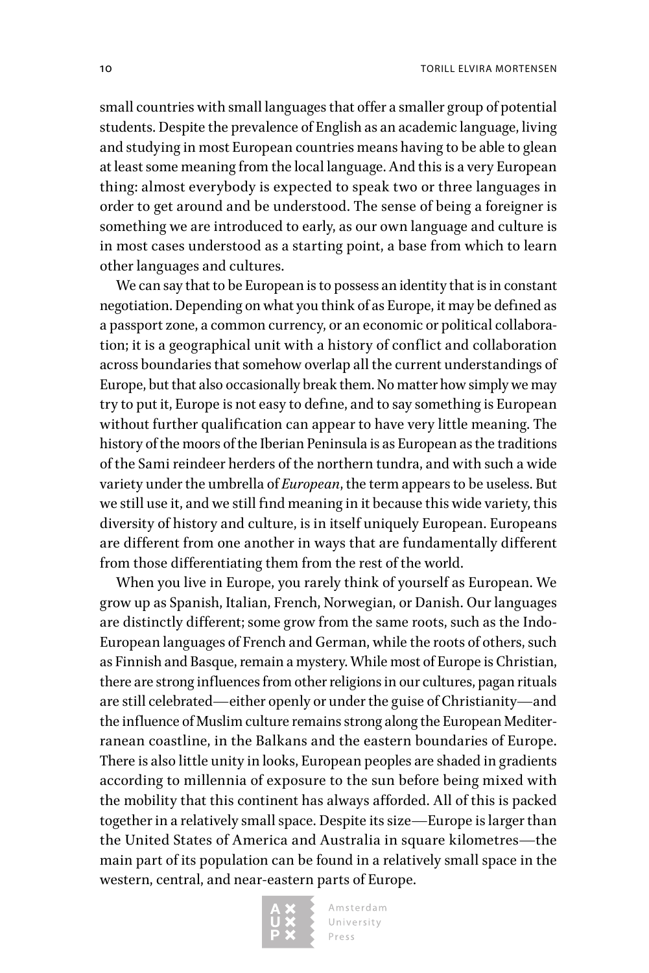small countries with small languages that offer a smaller group of potential students. Despite the prevalence of English as an academic language, living and studying in most European countries means having to be able to glean at least some meaning from the local language. And this is a very European thing: almost everybody is expected to speak two or three languages in order to get around and be understood. The sense of being a foreigner is something we are introduced to early, as our own language and culture is in most cases understood as a starting point, a base from which to learn other languages and cultures.

We can say that to be European is to possess an identity that is in constant negotiation. Depending on what you think of as Europe, it may be defined as a passport zone, a common currency, or an economic or political collaboration; it is a geographical unit with a history of conflict and collaboration across boundaries that somehow overlap all the current understandings of Europe, but that also occasionally break them. No matter how simply we may try to put it, Europe is not easy to define, and to say something is European without further qualification can appear to have very little meaning. The history of the moors of the Iberian Peninsula is as European as the traditions of the Sami reindeer herders of the northern tundra, and with such a wide variety under the umbrella of *European*, the term appears to be useless. But we still use it, and we still find meaning in it because this wide variety, this diversity of history and culture, is in itself uniquely European. Europeans are different from one another in ways that are fundamentally different from those differentiating them from the rest of the world.

When you live in Europe, you rarely think of yourself as European. We grow up as Spanish, Italian, French, Norwegian, or Danish. Our languages are distinctly different; some grow from the same roots, such as the Indo-European languages of French and German, while the roots of others, such as Finnish and Basque, remain a mystery. While most of Europe is Christian, there are strong influences from other religions in our cultures, pagan rituals are still celebrated—either openly or under the guise of Christianity—and the influence of Muslim culture remains strong along the European Mediterranean coastline, in the Balkans and the eastern boundaries of Europe. There is also little unity in looks, European peoples are shaded in gradients according to millennia of exposure to the sun before being mixed with the mobility that this continent has always afforded. All of this is packed together in a relatively small space. Despite its size—Europe is larger than the United States of America and Australia in square kilometres—the main part of its population can be found in a relatively small space in the western, central, and near-eastern parts of Europe.

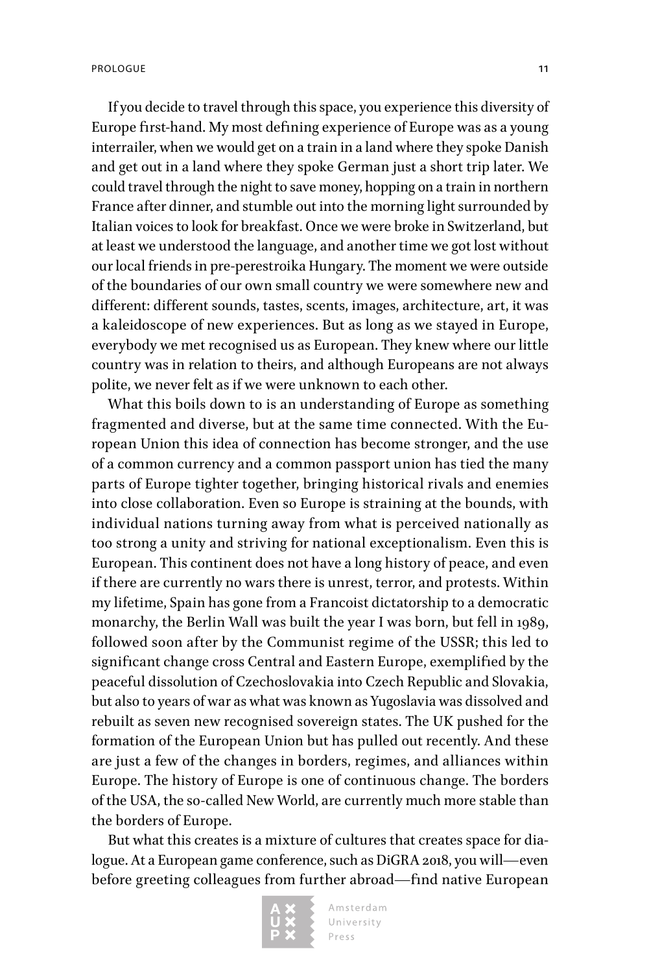If you decide to travel through this space, you experience this diversity of Europe first-hand. My most defining experience of Europe was as a young interrailer, when we would get on a train in a land where they spoke Danish and get out in a land where they spoke German just a short trip later. We could travel through the night to save money, hopping on a train in northern France after dinner, and stumble out into the morning light surrounded by Italian voices to look for breakfast. Once we were broke in Switzerland, but at least we understood the language, and another time we got lost without our local friends in pre-perestroika Hungary. The moment we were outside of the boundaries of our own small country we were somewhere new and different: different sounds, tastes, scents, images, architecture, art, it was a kaleidoscope of new experiences. But as long as we stayed in Europe, everybody we met recognised us as European. They knew where our little country was in relation to theirs, and although Europeans are not always polite, we never felt as if we were unknown to each other.

What this boils down to is an understanding of Europe as something fragmented and diverse, but at the same time connected. With the European Union this idea of connection has become stronger, and the use of a common currency and a common passport union has tied the many parts of Europe tighter together, bringing historical rivals and enemies into close collaboration. Even so Europe is straining at the bounds, with individual nations turning away from what is perceived nationally as too strong a unity and striving for national exceptionalism. Even this is European. This continent does not have a long history of peace, and even if there are currently no wars there is unrest, terror, and protests. Within my lifetime, Spain has gone from a Francoist dictatorship to a democratic monarchy, the Berlin Wall was built the year I was born, but fell in 1989, followed soon after by the Communist regime of the USSR; this led to significant change cross Central and Eastern Europe, exemplified by the peaceful dissolution of Czechoslovakia into Czech Republic and Slovakia, but also to years of war as what was known as Yugoslavia was dissolved and rebuilt as seven new recognised sovereign states. The UK pushed for the formation of the European Union but has pulled out recently. And these are just a few of the changes in borders, regimes, and alliances within Europe. The history of Europe is one of continuous change. The borders of the USA, the so-called New World, are currently much more stable than the borders of Europe.

But what this creates is a mixture of cultures that creates space for dialogue. At a European game conference, such as DiGRA 2018, you will—even before greeting colleagues from further abroad—find native European

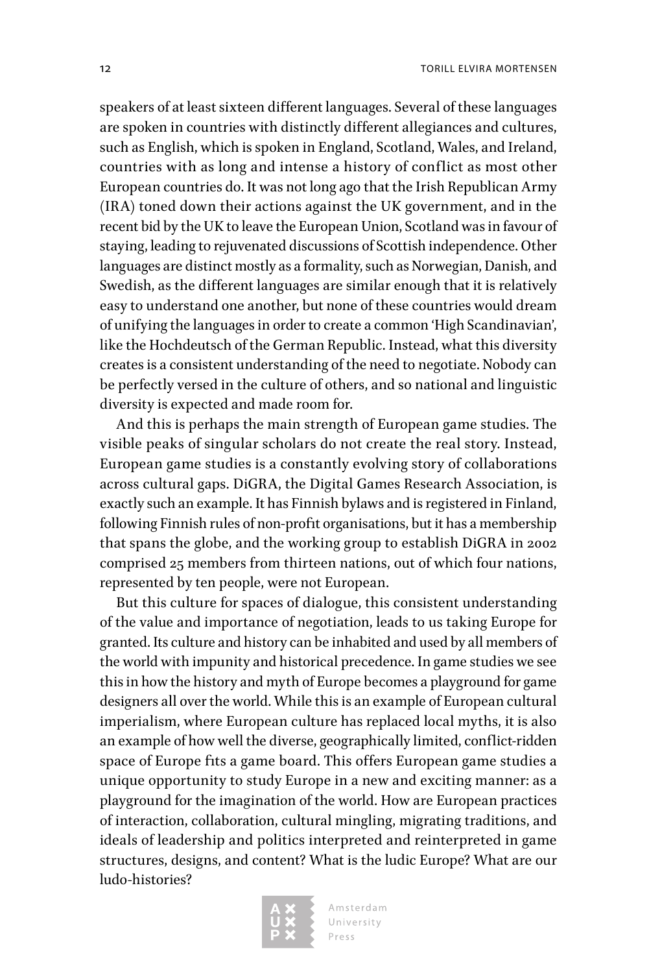speakers of at least sixteen different languages. Several of these languages are spoken in countries with distinctly different allegiances and cultures, such as English, which is spoken in England, Scotland, Wales, and Ireland, countries with as long and intense a history of conflict as most other European countries do. It was not long ago that the Irish Republican Army (IRA) toned down their actions against the UK government, and in the recent bid by the UK to leave the European Union, Scotland was in favour of staying, leading to rejuvenated discussions of Scottish independence. Other languages are distinct mostly as a formality, such as Norwegian, Danish, and Swedish, as the different languages are similar enough that it is relatively easy to understand one another, but none of these countries would dream of unifying the languages in order to create a common 'High Scandinavian', like the Hochdeutsch of the German Republic. Instead, what this diversity creates is a consistent understanding of the need to negotiate. Nobody can be perfectly versed in the culture of others, and so national and linguistic diversity is expected and made room for.

And this is perhaps the main strength of European game studies. The visible peaks of singular scholars do not create the real story. Instead, European game studies is a constantly evolving story of collaborations across cultural gaps. DiGRA, the Digital Games Research Association, is exactly such an example. It has Finnish bylaws and is registered in Finland, following Finnish rules of non-profit organisations, but it has a membership that spans the globe, and the working group to establish DiGRA in 2002 comprised 25 members from thirteen nations, out of which four nations, represented by ten people, were not European.

But this culture for spaces of dialogue, this consistent understanding of the value and importance of negotiation, leads to us taking Europe for granted. Its culture and history can be inhabited and used by all members of the world with impunity and historical precedence. In game studies we see this in how the history and myth of Europe becomes a playground for game designers all over the world. While this is an example of European cultural imperialism, where European culture has replaced local myths, it is also an example of how well the diverse, geographically limited, conflict-ridden space of Europe fits a game board. This offers European game studies a unique opportunity to study Europe in a new and exciting manner: as a playground for the imagination of the world. How are European practices of interaction, collaboration, cultural mingling, migrating traditions, and ideals of leadership and politics interpreted and reinterpreted in game structures, designs, and content? What is the ludic Europe? What are our ludo-histories?

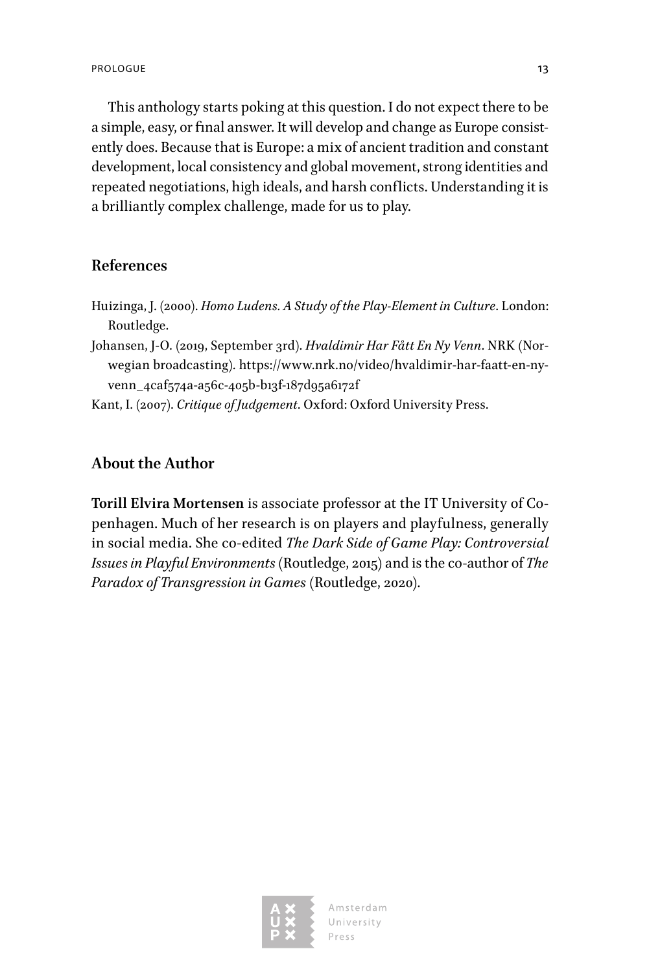This anthology starts poking at this question. I do not expect there to be a simple, easy, or final answer. It will develop and change as Europe consistently does. Because that is Europe: a mix of ancient tradition and constant development, local consistency and global movement, strong identities and repeated negotiations, high ideals, and harsh conflicts. Understanding it is a brilliantly complex challenge, made for us to play.

## **References**

- Huizinga, J. (2000). *Homo Ludens. A Study of the Play-Element in Culture*. London: Routledge.
- Johansen, J-O. (2019, September 3rd). *Hvaldimir Har Fått En Ny Venn*. NRK (Norwegian broadcasting). [https://www.nrk.no/video/hvaldimir-har-faatt-en-ny](https://www.nrk.no/video/hvaldimir-har-faatt-en-ny-venn_4caf574a-a56c-405b-b13f-187d95a6172f)[venn\\_4caf574a-a56c-405b-b13f-187d95a6172f](https://www.nrk.no/video/hvaldimir-har-faatt-en-ny-venn_4caf574a-a56c-405b-b13f-187d95a6172f)
- Kant, I. (2007). *Critique of Judgement*. Oxford: Oxford University Press.

# **About the Author**

**Torill Elvira Mortensen** is associate professor at the IT University of Copenhagen. Much of her research is on players and playfulness, generally in social media. She co-edited *The Dark Side of Game Play: Controversial Issues in Playful Environments* (Routledge, 2015) and is the co-author of *The Paradox of Transgression in Games* (Routledge, 2020).



Amsterdam University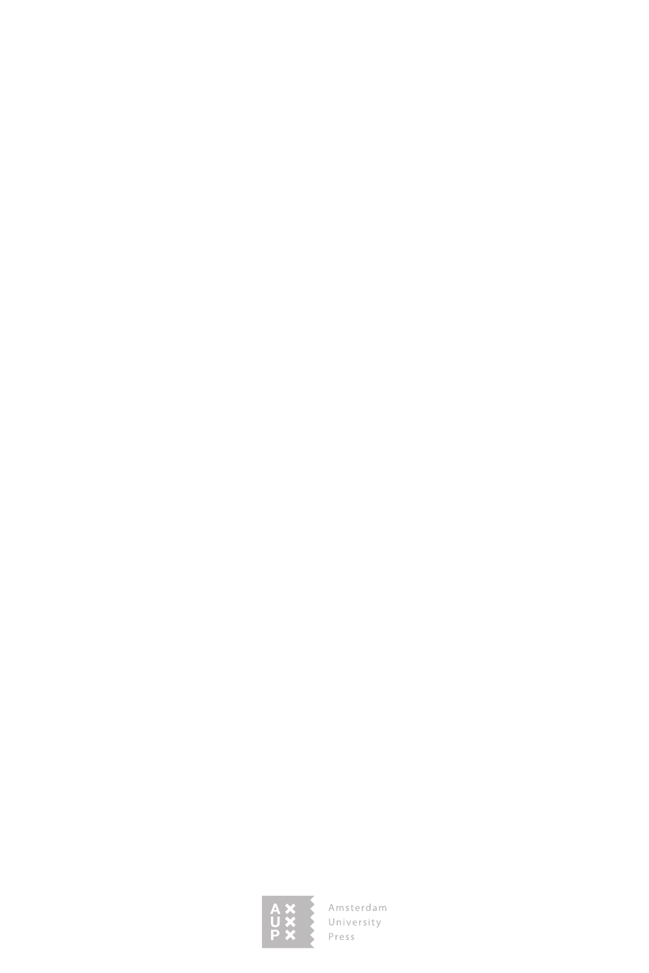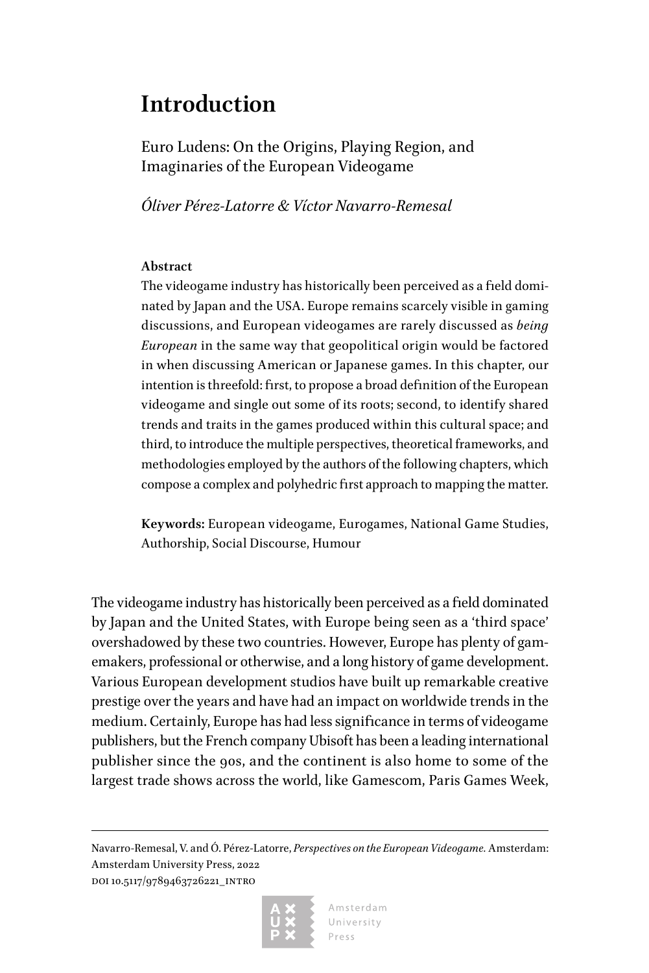# <span id="page-15-0"></span>**Introduction**

Euro Ludens: On the Origins, Playing Region, and Imaginaries of the European Videogame

*Óliver Pérez-Latorre & Víctor Navarro-Remesal*

## **Abstract**

The videogame industry has historically been perceived as a field dominated by Japan and the USA. Europe remains scarcely visible in gaming discussions, and European videogames are rarely discussed as *being European* in the same way that geopolitical origin would be factored in when discussing American or Japanese games. In this chapter, our intention is threefold: first, to propose a broad definition of the European videogame and single out some of its roots; second, to identify shared trends and traits in the games produced within this cultural space; and third, to introduce the multiple perspectives, theoretical frameworks, and methodologies employed by the authors of the following chapters, which compose a complex and polyhedric first approach to mapping the matter.

**Keywords:** European videogame, Eurogames, National Game Studies, Authorship, Social Discourse, Humour

The videogame industry has historically been perceived as a field dominated by Japan and the United States, with Europe being seen as a 'third space' overshadowed by these two countries. However, Europe has plenty of gamemakers, professional or otherwise, and a long history of game development. Various European development studios have built up remarkable creative prestige over the years and have had an impact on worldwide trends in the medium. Certainly, Europe has had less significance in terms of videogame publishers, but the French company Ubisoft has been a leading international publisher since the 90s, and the continent is also home to some of the largest trade shows across the world, like Gamescom, Paris Games Week,

Navarro-Remesal, V. and Ó. Pérez-Latorre, *Perspectives on the European Videogame.* Amsterdam: Amsterdam University Press, 2022 DOI 10.5117/9789463726221\_INTRO

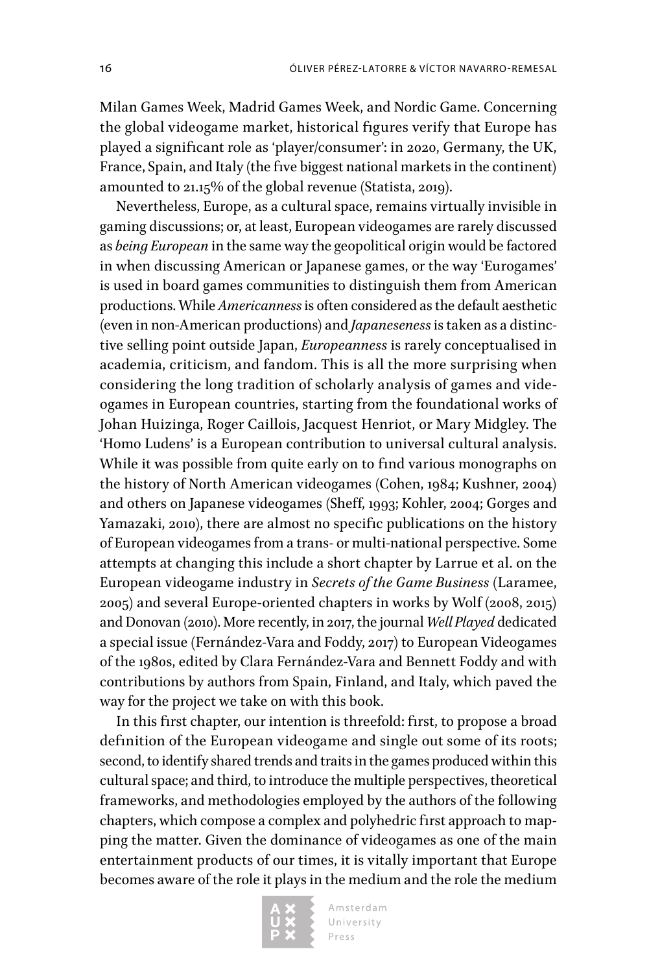Milan Games Week, Madrid Games Week, and Nordic Game. Concerning the global videogame market, historical figures verify that Europe has played a significant role as 'player/consumer': in 2020, Germany, the UK, France, Spain, and Italy (the five biggest national markets in the continent) amounted to 21.15% of the global revenue (Statista, 2019).

Nevertheless, Europe, as a cultural space, remains virtually invisible in gaming discussions; or, at least, European videogames are rarely discussed as *being European* in the same way the geopolitical origin would be factored in when discussing American or Japanese games, or the way 'Eurogames' is used in board games communities to distinguish them from American productions. While *Americanness* is often considered as the default aesthetic (even in non-American productions) and *Japaneseness* is taken as a distinctive selling point outside Japan, *Europeanness* is rarely conceptualised in academia, criticism, and fandom. This is all the more surprising when considering the long tradition of scholarly analysis of games and videogames in European countries, starting from the foundational works of Johan Huizinga, Roger Caillois, Jacquest Henriot, or Mary Midgley. The 'Homo Ludens' is a European contribution to universal cultural analysis. While it was possible from quite early on to find various monographs on the history of North American videogames (Cohen, 1984; Kushner, 2004) and others on Japanese videogames (Sheff, 1993; Kohler, 2004; Gorges and Yamazaki, 2010), there are almost no specific publications on the history of European videogames from a trans- or multi-national perspective. Some attempts at changing this include a short chapter by Larrue et al. on the European videogame industry in *Secrets of the Game Business* (Laramee, 2005) and several Europe-oriented chapters in works by Wolf (2008, 2015) and Donovan (2010). More recently, in 2017, the journal *Well Played* dedicated a special issue (Fernández-Vara and Foddy, 2017) to European Videogames of the 1980s, edited by Clara Fernández-Vara and Bennett Foddy and with contributions by authors from Spain, Finland, and Italy, which paved the way for the project we take on with this book.

In this first chapter, our intention is threefold: first, to propose a broad definition of the European videogame and single out some of its roots; second, to identify shared trends and traits in the games produced within this cultural space; and third, to introduce the multiple perspectives, theoretical frameworks, and methodologies employed by the authors of the following chapters, which compose a complex and polyhedric first approach to mapping the matter. Given the dominance of videogames as one of the main entertainment products of our times, it is vitally important that Europe becomes aware of the role it plays in the medium and the role the medium

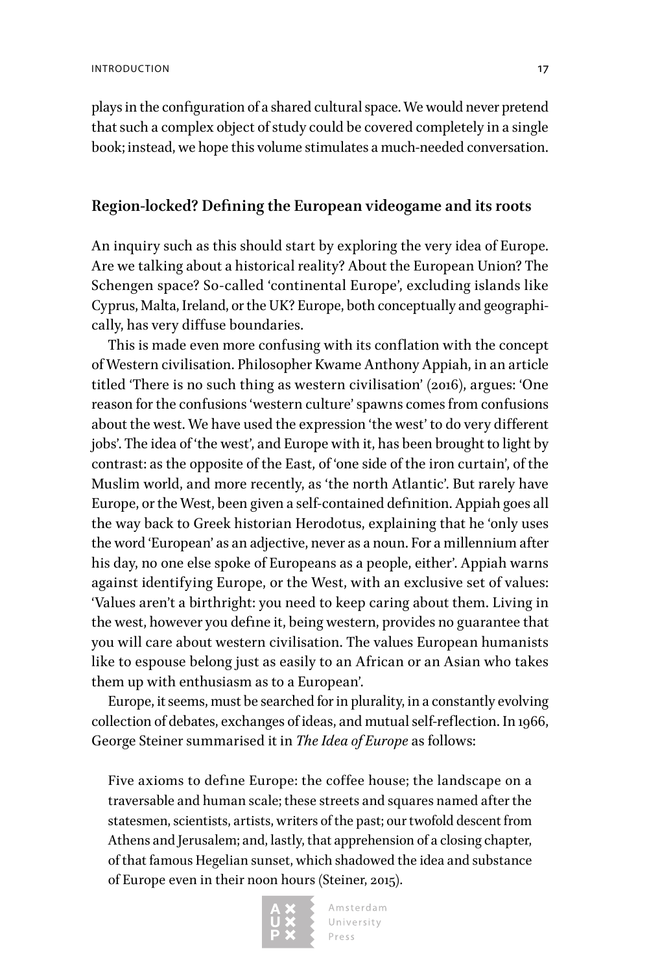plays in the configuration of a shared cultural space. We would never pretend that such a complex object of study could be covered completely in a single book; instead, we hope this volume stimulates a much-needed conversation.

## **Region-locked? Defining the European videogame and its roots**

An inquiry such as this should start by exploring the very idea of Europe. Are we talking about a historical reality? About the European Union? The Schengen space? So-called 'continental Europe', excluding islands like Cyprus, Malta, Ireland, or the UK? Europe, both conceptually and geographically, has very diffuse boundaries.

This is made even more confusing with its conflation with the concept of Western civilisation. Philosopher Kwame Anthony Appiah, in an article titled 'There is no such thing as western civilisation' (2016), argues: 'One reason for the confusions 'western culture' spawns comes from confusions about the west. We have used the expression 'the west' to do very different jobs'. The idea of 'the west', and Europe with it, has been brought to light by contrast: as the opposite of the East, of 'one side of the iron curtain', of the Muslim world, and more recently, as 'the north Atlantic'. But rarely have Europe, or the West, been given a self-contained definition. Appiah goes all the way back to Greek historian Herodotus, explaining that he 'only uses the word 'European' as an adjective, never as a noun. For a millennium after his day, no one else spoke of Europeans as a people, either'. Appiah warns against identifying Europe, or the West, with an exclusive set of values: 'Values aren't a birthright: you need to keep caring about them. Living in the west, however you define it, being western, provides no guarantee that you will care about western civilisation. The values European humanists like to espouse belong just as easily to an African or an Asian who takes them up with enthusiasm as to a European'.

Europe, it seems, must be searched for in plurality, in a constantly evolving collection of debates, exchanges of ideas, and mutual self-reflection. In 1966, George Steiner summarised it in *The Idea of Europe* as follows:

Five axioms to define Europe: the coffee house; the landscape on a traversable and human scale; these streets and squares named after the statesmen, scientists, artists, writers of the past; our twofold descent from Athens and Jerusalem; and, lastly, that apprehension of a closing chapter, of that famous Hegelian sunset, which shadowed the idea and substance of Europe even in their noon hours (Steiner, 2015).

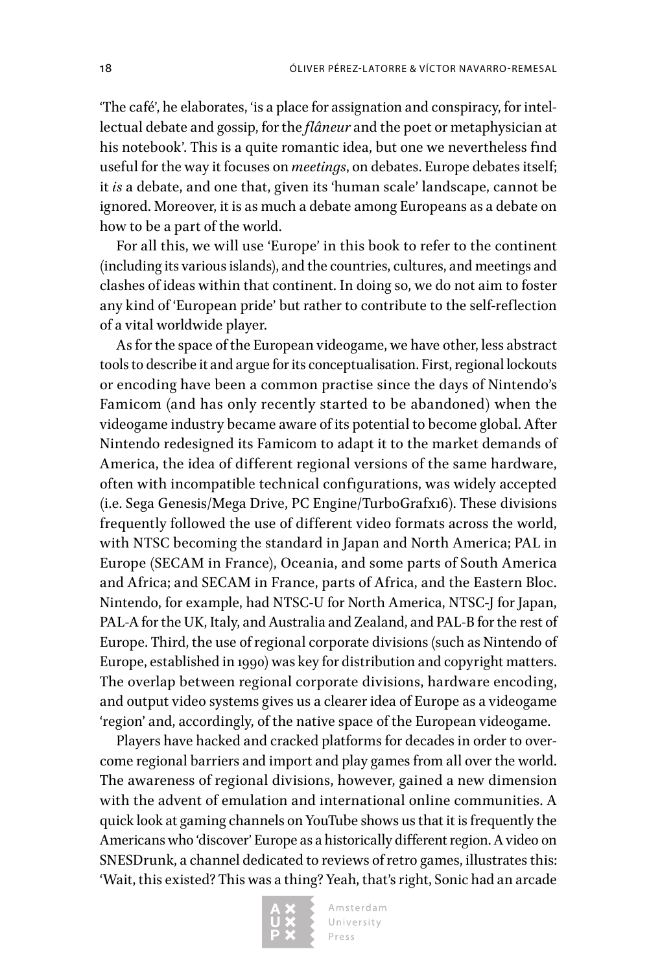'The café', he elaborates, 'is a place for assignation and conspiracy, for intellectual debate and gossip, for the *flâneur* and the poet or metaphysician at his notebook'. This is a quite romantic idea, but one we nevertheless find useful for the way it focuses on *meetings*, on debates. Europe debates itself; it *is* a debate, and one that, given its 'human scale' landscape, cannot be ignored. Moreover, it is as much a debate among Europeans as a debate on how to be a part of the world.

For all this, we will use 'Europe' in this book to refer to the continent (including its various islands), and the countries, cultures, and meetings and clashes of ideas within that continent. In doing so, we do not aim to foster any kind of 'European pride' but rather to contribute to the self-reflection of a vital worldwide player.

As for the space of the European videogame, we have other, less abstract tools to describe it and argue for its conceptualisation. First, regional lockouts or encoding have been a common practise since the days of Nintendo's Famicom (and has only recently started to be abandoned) when the videogame industry became aware of its potential to become global. After Nintendo redesigned its Famicom to adapt it to the market demands of America, the idea of different regional versions of the same hardware, often with incompatible technical configurations, was widely accepted (i.e. Sega Genesis/Mega Drive, PC Engine/TurboGrafx16). These divisions frequently followed the use of different video formats across the world, with NTSC becoming the standard in Japan and North America; PAL in Europe (SECAM in France), Oceania, and some parts of South America and Africa; and SECAM in France, parts of Africa, and the Eastern Bloc. Nintendo, for example, had NTSC-U for North America, NTSC-J for Japan, PAL-A for the UK, Italy, and Australia and Zealand, and PAL-B for the rest of Europe. Third, the use of regional corporate divisions (such as Nintendo of Europe, established in 1990) was key for distribution and copyright matters. The overlap between regional corporate divisions, hardware encoding, and output video systems gives us a clearer idea of Europe as a videogame 'region' and, accordingly, of the native space of the European videogame.

Players have hacked and cracked platforms for decades in order to overcome regional barriers and import and play games from all over the world. The awareness of regional divisions, however, gained a new dimension with the advent of emulation and international online communities. A quick look at gaming channels on YouTube shows us that it is frequently the Americans who 'discover' Europe as a historically different region. A video on SNESDrunk, a channel dedicated to reviews of retro games, illustrates this: 'Wait, this existed? This was a thing? Yeah, that's right, Sonic had an arcade

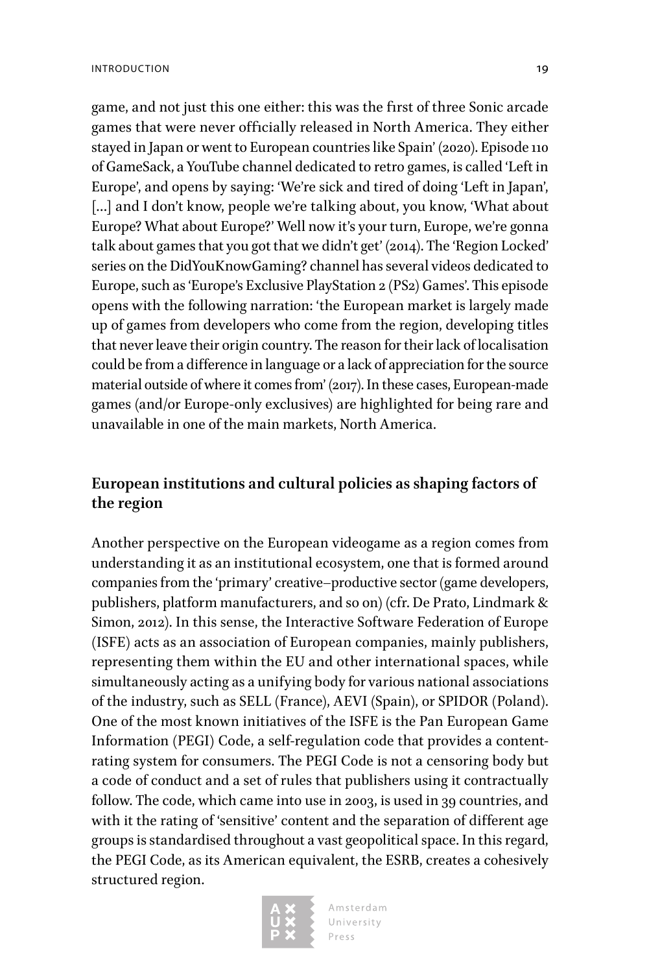game, and not just this one either: this was the first of three Sonic arcade games that were never officially released in North America. They either stayed in Japan or went to European countries like Spain' (2020). Episode 110 of GameSack, a YouTube channel dedicated to retro games, is called 'Left in Europe', and opens by saying: 'We're sick and tired of doing 'Left in Japan', [...] and I don't know, people we're talking about, you know, 'What about Europe? What about Europe?' Well now it's your turn, Europe, we're gonna talk about games that you got that we didn't get' (2014). The 'Region Locked' series on the DidYouKnowGaming? channel has several videos dedicated to Europe, such as 'Europe's Exclusive PlayStation 2 (PS2) Games'. This episode opens with the following narration: 'the European market is largely made up of games from developers who come from the region, developing titles that never leave their origin country. The reason for their lack of localisation could be from a difference in language or a lack of appreciation for the source material outside of where it comes from' (2017). In these cases, European-made games (and/or Europe-only exclusives) are highlighted for being rare and unavailable in one of the main markets, North America.

# **European institutions and cultural policies as shaping factors of the region**

Another perspective on the European videogame as a region comes from understanding it as an institutional ecosystem, one that is formed around companies from the 'primary' creative–productive sector (game developers, publishers, platform manufacturers, and so on) (cfr. De Prato, Lindmark & Simon, 2012). In this sense, the Interactive Software Federation of Europe (ISFE) acts as an association of European companies, mainly publishers, representing them within the EU and other international spaces, while simultaneously acting as a unifying body for various national associations of the industry, such as SELL (France), AEVI (Spain), or SPIDOR (Poland). One of the most known initiatives of the ISFE is the Pan European Game Information (PEGI) Code, a self-regulation code that provides a contentrating system for consumers. The PEGI Code is not a censoring body but a code of conduct and a set of rules that publishers using it contractually follow. The code, which came into use in 2003, is used in 39 countries, and with it the rating of 'sensitive' content and the separation of different age groups is standardised throughout a vast geopolitical space. In this regard, the PEGI Code, as its American equivalent, the ESRB, creates a cohesively structured region.

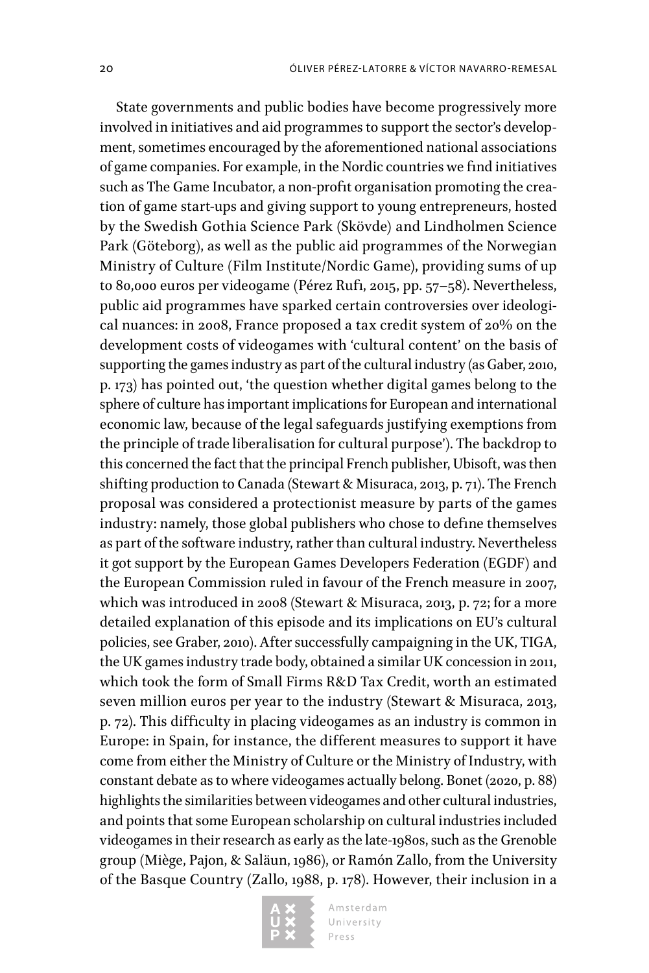State governments and public bodies have become progressively more involved in initiatives and aid programmes to support the sector's development, sometimes encouraged by the aforementioned national associations of game companies. For example, in the Nordic countries we find initiatives such as The Game Incubator, a non-profit organisation promoting the creation of game start-ups and giving support to young entrepreneurs, hosted by the Swedish Gothia Science Park (Skövde) and Lindholmen Science Park (Göteborg), as well as the public aid programmes of the Norwegian Ministry of Culture (Film Institute/Nordic Game), providing sums of up to 80,000 euros per videogame (Pérez Rufi, 2015, pp. 57–58). Nevertheless, public aid programmes have sparked certain controversies over ideological nuances: in 2008, France proposed a tax credit system of 20% on the development costs of videogames with 'cultural content' on the basis of supporting the games industry as part of the cultural industry (as Gaber, 2010, p. 173) has pointed out, 'the question whether digital games belong to the sphere of culture has important implications for European and international economic law, because of the legal safeguards justifying exemptions from the principle of trade liberalisation for cultural purpose'). The backdrop to this concerned the fact that the principal French publisher, Ubisoft, was then shifting production to Canada (Stewart & Misuraca, 2013, p. 71). The French proposal was considered a protectionist measure by parts of the games industry: namely, those global publishers who chose to define themselves as part of the software industry, rather than cultural industry. Nevertheless it got support by the European Games Developers Federation (EGDF) and the European Commission ruled in favour of the French measure in 2007, which was introduced in 2008 (Stewart & Misuraca, 2013, p. 72; for a more detailed explanation of this episode and its implications on EU's cultural policies, see Graber, 2010). After successfully campaigning in the UK, TIGA, the UK games industry trade body, obtained a similar UK concession in 2011, which took the form of Small Firms R&D Tax Credit, worth an estimated seven million euros per year to the industry (Stewart & Misuraca, 2013, p. 72). This difficulty in placing videogames as an industry is common in Europe: in Spain, for instance, the different measures to support it have come from either the Ministry of Culture or the Ministry of Industry, with constant debate as to where videogames actually belong. Bonet (2020, p. 88) highlights the similarities between videogames and other cultural industries, and points that some European scholarship on cultural industries included videogames in their research as early as the late-1980s, such as the Grenoble group (Miège, Pajon, & Saläun, 1986), or Ramón Zallo, from the University of the Basque Country (Zallo, 1988, p. 178). However, their inclusion in a

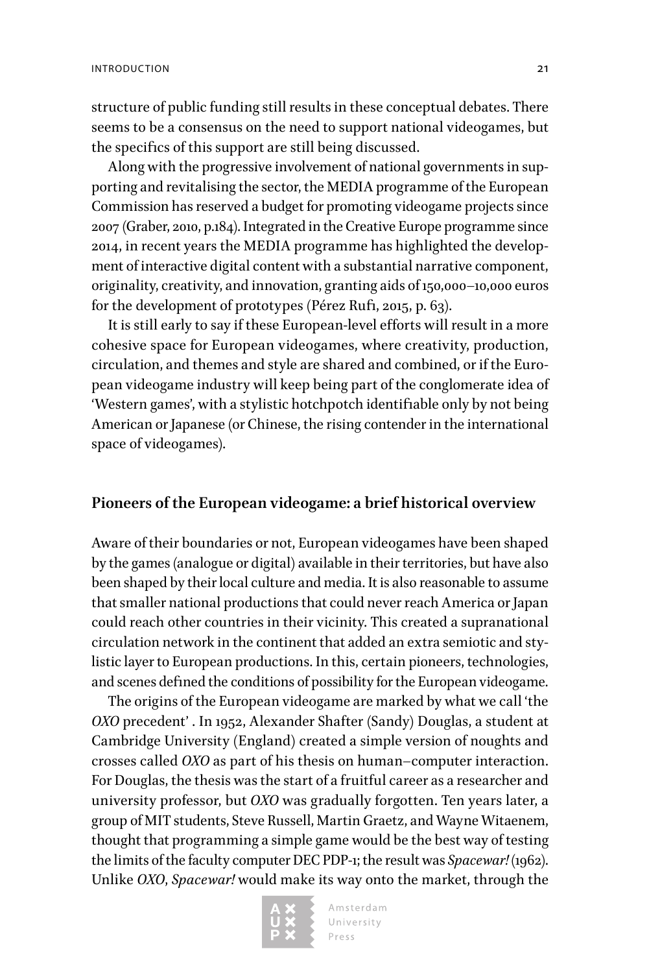structure of public funding still results in these conceptual debates. There seems to be a consensus on the need to support national videogames, but the specifics of this support are still being discussed.

Along with the progressive involvement of national governments in supporting and revitalising the sector, the MEDIA programme of the European Commission has reserved a budget for promoting videogame projects since 2007 (Graber, 2010, p.184). Integrated in the Creative Europe programme since 2014, in recent years the MEDIA programme has highlighted the development of interactive digital content with a substantial narrative component, originality, creativity, and innovation, granting aids of 150,000–10,000 euros for the development of prototypes (Pérez Rufi, 2015, p. 63).

It is still early to say if these European-level efforts will result in a more cohesive space for European videogames, where creativity, production, circulation, and themes and style are shared and combined, or if the European videogame industry will keep being part of the conglomerate idea of 'Western games', with a stylistic hotchpotch identifiable only by not being American or Japanese (or Chinese, the rising contender in the international space of videogames).

#### **Pioneers of the European videogame: a brief historical overview**

Aware of their boundaries or not, European videogames have been shaped by the games (analogue or digital) available in their territories, but have also been shaped by their local culture and media. It is also reasonable to assume that smaller national productions that could never reach America or Japan could reach other countries in their vicinity. This created a supranational circulation network in the continent that added an extra semiotic and stylistic layer to European productions. In this, certain pioneers, technologies, and scenes defined the conditions of possibility for the European videogame.

The origins of the European videogame are marked by what we call 'the *OXO* precedent' . In 1952, Alexander Shafter (Sandy) Douglas, a student at Cambridge University (England) created a simple version of noughts and crosses called *OXO* as part of his thesis on human–computer interaction. For Douglas, the thesis was the start of a fruitful career as a researcher and university professor, but *OXO* was gradually forgotten. Ten years later, a group of MIT students, Steve Russell, Martin Graetz, and Wayne Witaenem, thought that programming a simple game would be the best way of testing the limits of the faculty computer DEC PDP-1; the result was *Spacewar!* (1962). Unlike *OXO*, *Spacewar!* would make its way onto the market, through the

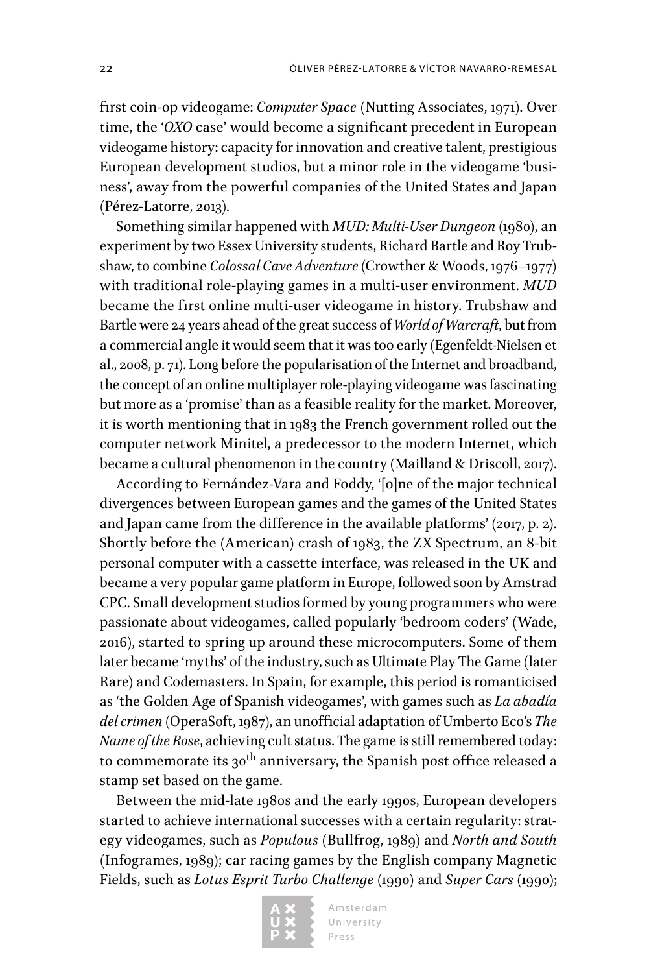first coin-op videogame: *Computer Space* (Nutting Associates, 1971). Over time, the '*OXO* case' would become a significant precedent in European videogame history: capacity for innovation and creative talent, prestigious European development studios, but a minor role in the videogame 'business', away from the powerful companies of the United States and Japan (Pérez-Latorre, 2013).

Something similar happened with *MUD: Multi-User Dungeon* (1980), an experiment by two Essex University students, Richard Bartle and Roy Trubshaw, to combine *Colossal Cave Adventure* (Crowther & Woods, 1976–1977) with traditional role-playing games in a multi-user environment. *MUD*  became the first online multi-user videogame in history. Trubshaw and Bartle were 24 years ahead of the great success of *World of Warcraft*, but from a commercial angle it would seem that it was too early (Egenfeldt-Nielsen et al., 2008, p. 71). Long before the popularisation of the Internet and broadband, the concept of an online multiplayer role-playing videogame was fascinating but more as a 'promise' than as a feasible reality for the market. Moreover, it is worth mentioning that in 1983 the French government rolled out the computer network Minitel, a predecessor to the modern Internet, which became a cultural phenomenon in the country (Mailland & Driscoll, 2017).

According to Fernández-Vara and Foddy, '[o]ne of the major technical divergences between European games and the games of the United States and Japan came from the difference in the available platforms' (2017, p. 2). Shortly before the (American) crash of 1983, the ZX Spectrum, an 8-bit personal computer with a cassette interface, was released in the UK and became a very popular game platform in Europe, followed soon by Amstrad CPC. Small development studios formed by young programmers who were passionate about videogames, called popularly 'bedroom coders' (Wade, 2016), started to spring up around these microcomputers. Some of them later became 'myths' of the industry, such as Ultimate Play The Game (later Rare) and Codemasters. In Spain, for example, this period is romanticised as 'the Golden Age of Spanish videogames', with games such as *La abadía del crimen* (OperaSoft, 1987), an unofficial adaptation of Umberto Eco's *The Name of the Rose*, achieving cult status. The game is still remembered today: to commemorate its  $30^{\text{th}}$  anniversary, the Spanish post office released a stamp set based on the game.

Between the mid-late 1980s and the early 1990s, European developers started to achieve international successes with a certain regularity: strategy videogames, such as *Populous* (Bullfrog, 1989) and *North and South*  (Infogrames, 1989); car racing games by the English company Magnetic Fields, such as *Lotus Esprit Turbo Challenge* (1990) and *Super Cars* (1990);

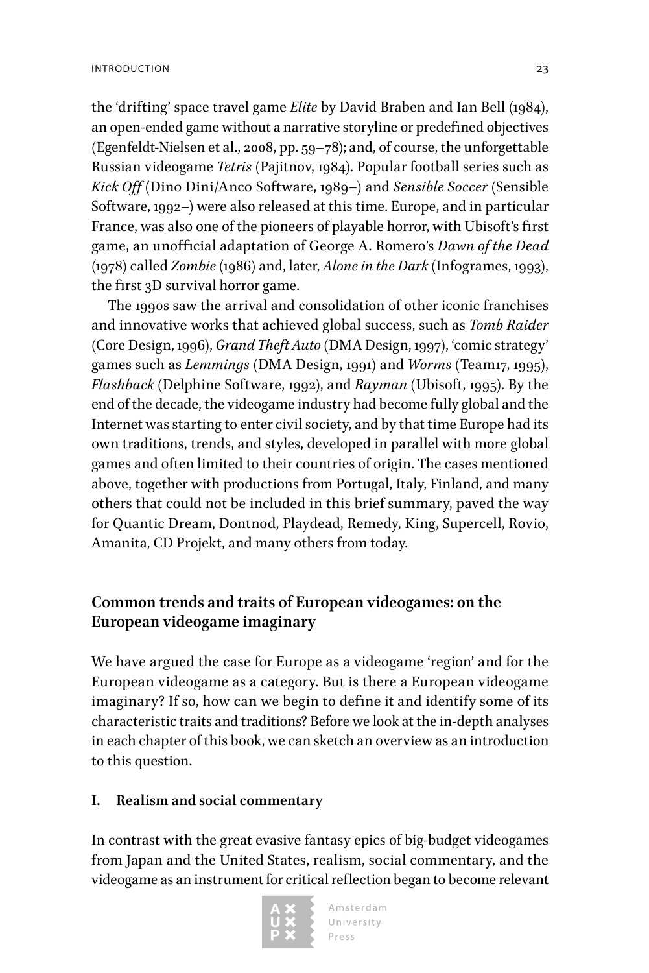the 'drifting' space travel game *Elite* by David Braben and Ian Bell (1984), an open-ended game without a narrative storyline or predefined objectives (Egenfeldt-Nielsen et al., 2008, pp. 59–78); and, of course, the unforgettable Russian videogame *Tetris* (Pajitnov, 1984). Popular football series such as *Kick Off* (Dino Dini/Anco Software, 1989–) and *Sensible Soccer* (Sensible Software, 1992–) were also released at this time. Europe, and in particular France, was also one of the pioneers of playable horror, with Ubisoft's first game, an unofficial adaptation of George A. Romero's *Dawn of the Dead*  (1978) called *Zombie* (1986) and, later, *Alone in the Dark* (Infogrames, 1993), the first 3D survival horror game.

The 1990s saw the arrival and consolidation of other iconic franchises and innovative works that achieved global success, such as *Tomb Raider*  (Core Design, 1996), *Grand Theft Auto* (DMA Design, 1997), 'comic strategy' games such as *Lemmings* (DMA Design, 1991) and *Worms* (Team17, 1995), *Flashback* (Delphine Software, 1992), and *Rayman* (Ubisoft, 1995). By the end of the decade, the videogame industry had become fully global and the Internet was starting to enter civil society, and by that time Europe had its own traditions, trends, and styles, developed in parallel with more global games and often limited to their countries of origin. The cases mentioned above, together with productions from Portugal, Italy, Finland, and many others that could not be included in this brief summary, paved the way for Quantic Dream, Dontnod, Playdead, Remedy, King, Supercell, Rovio, Amanita, CD Projekt, and many others from today.

# **Common trends and traits of European videogames: on the European videogame imaginary**

We have argued the case for Europe as a videogame 'region' and for the European videogame as a category. But is there a European videogame imaginary? If so, how can we begin to define it and identify some of its characteristic traits and traditions? Before we look at the in-depth analyses in each chapter of this book, we can sketch an overview as an introduction to this question.

## **I. Realism and social commentary**

In contrast with the great evasive fantasy epics of big-budget videogames from Japan and the United States, realism, social commentary, and the videogame as an instrument for critical reflection began to become relevant

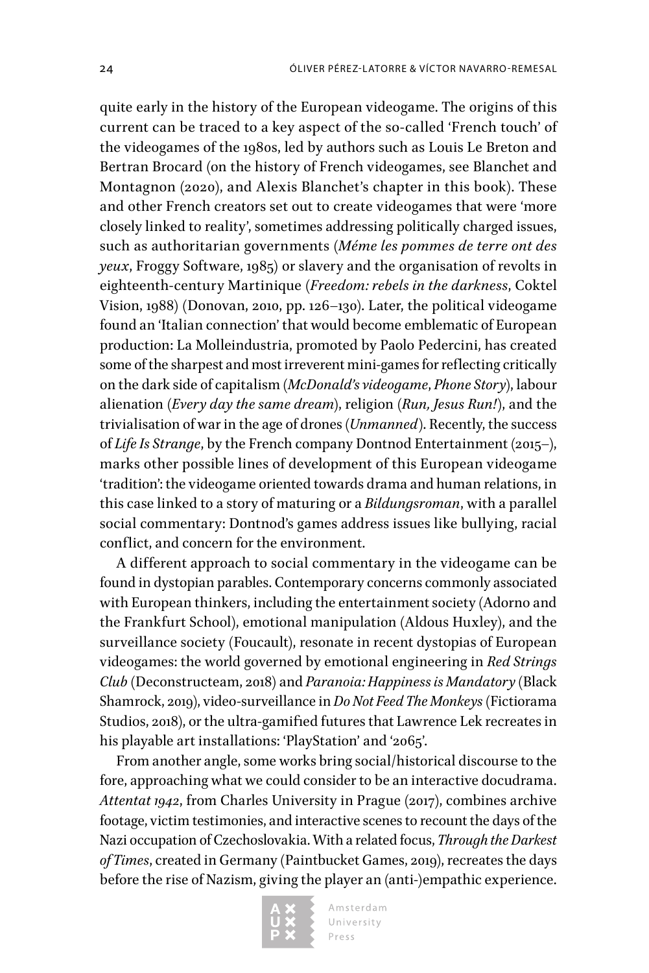quite early in the history of the European videogame. The origins of this current can be traced to a key aspect of the so-called 'French touch' of the videogames of the 1980s, led by authors such as Louis Le Breton and Bertran Brocard (on the history of French videogames, see Blanchet and Montagnon (2020), and Alexis Blanchet's chapter in this book). These and other French creators set out to create videogames that were 'more closely linked to reality', sometimes addressing politically charged issues, such as authoritarian governments (*Méme les pommes de terre ont des yeux*, Froggy Software, 1985) or slavery and the organisation of revolts in eighteenth-century Martinique (*Freedom: rebels in the darkness*, Coktel Vision, 1988) (Donovan, 2010, pp. 126–130). Later, the political videogame found an 'Italian connection' that would become emblematic of European production: La Molleindustria, promoted by Paolo Pedercini, has created some of the sharpest and most irreverent mini-games for reflecting critically on the dark side of capitalism (*McDonald's videogame*, *Phone Story*), labour alienation (*Every day the same dream*), religion (*Run, Jesus Run!*), and the trivialisation of war in the age of drones (*Unmanned*). Recently, the success of *Life Is Strange*, by the French company Dontnod Entertainment (2015–), marks other possible lines of development of this European videogame 'tradition': the videogame oriented towards drama and human relations, in this case linked to a story of maturing or a *Bildungsroman*, with a parallel social commentary: Dontnod's games address issues like bullying, racial conflict, and concern for the environment.

A different approach to social commentary in the videogame can be found in dystopian parables. Contemporary concerns commonly associated with European thinkers, including the entertainment society (Adorno and the Frankfurt School), emotional manipulation (Aldous Huxley), and the surveillance society (Foucault), resonate in recent dystopias of European videogames: the world governed by emotional engineering in *Red Strings Club* (Deconstructeam, 2018) and *Paranoia: Happiness is Mandatory* (Black Shamrock, 2019), video-surveillance in *Do Not Feed The Monkeys* (Fictiorama Studios, 2018), or the ultra-gamified futures that Lawrence Lek recreates in his playable art installations: 'PlayStation' and '2065'.

From another angle, some works bring social/historical discourse to the fore, approaching what we could consider to be an interactive docudrama. Attentat 1942, from Charles University in Prague (2017), combines archive footage, victim testimonies, and interactive scenes to recount the days of the Nazi occupation of Czechoslovakia. With a related focus, *Through the Darkest of Times*, created in Germany (Paintbucket Games, 2019), recreates the days before the rise of Nazism, giving the player an (anti-)empathic experience.

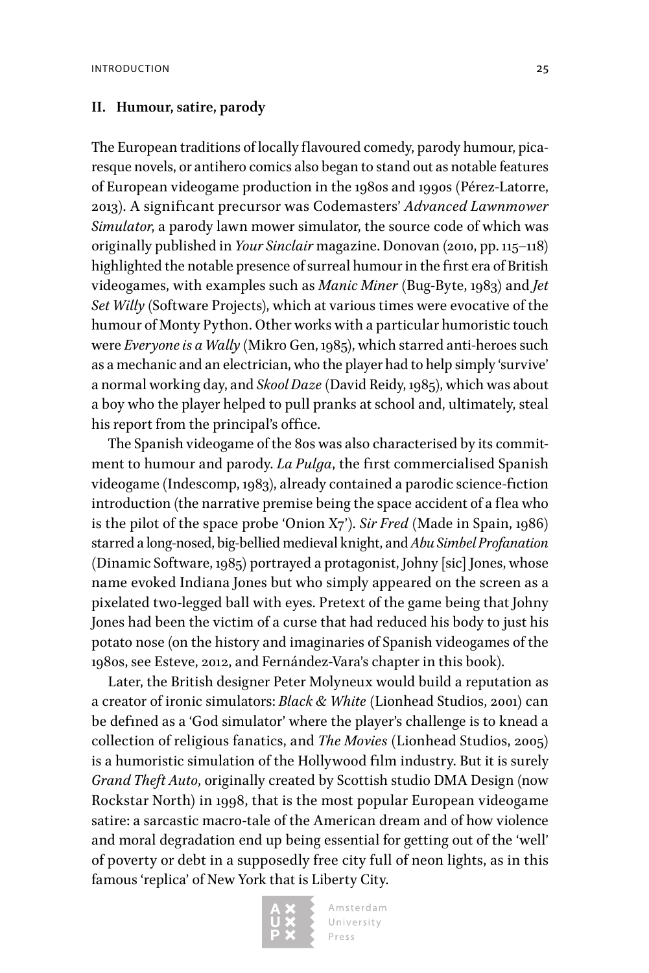#### **II. Humour, satire, parody**

The European traditions of locally flavoured comedy, parody humour, picaresque novels, or antihero comics also began to stand out as notable features of European videogame production in the 1980s and 1990s (Pérez-Latorre, 2013). A significant precursor was Codemasters' *Advanced Lawnmower Simulator*, a parody lawn mower simulator, the source code of which was originally published in *Your Sinclair* magazine. Donovan (2010, pp. 115–118) highlighted the notable presence of surreal humour in the first era of British videogames, with examples such as *Manic Miner* (Bug-Byte, 1983) and *Jet Set Willy* (Software Projects), which at various times were evocative of the humour of Monty Python. Other works with a particular humoristic touch were *Everyone is a Wally* (Mikro Gen, 1985), which starred anti-heroes such as a mechanic and an electrician, who the player had to help simply 'survive' a normal working day, and *Skool Daze* (David Reidy, 1985), which was about a boy who the player helped to pull pranks at school and, ultimately, steal his report from the principal's office.

The Spanish videogame of the 80s was also characterised by its commitment to humour and parody. *La Pulga*, the first commercialised Spanish videogame (Indescomp, 1983), already contained a parodic science-fiction introduction (the narrative premise being the space accident of a flea who is the pilot of the space probe 'Onion X7'). *Sir Fred* (Made in Spain, 1986) starred a long-nosed, big-bellied medieval knight, and *Abu Simbel Profanation* (Dinamic Software, 1985) portrayed a protagonist, Johny [sic] Jones, whose name evoked Indiana Jones but who simply appeared on the screen as a pixelated two-legged ball with eyes. Pretext of the game being that Johny Jones had been the victim of a curse that had reduced his body to just his potato nose (on the history and imaginaries of Spanish videogames of the 1980s, see Esteve, 2012, and Fernández-Vara's chapter in this book).

Later, the British designer Peter Molyneux would build a reputation as a creator of ironic simulators: *Black & White* (Lionhead Studios, 2001) can be defined as a 'God simulator' where the player's challenge is to knead a collection of religious fanatics, and *The Movies* (Lionhead Studios, 2005) is a humoristic simulation of the Hollywood film industry. But it is surely *Grand Theft Auto*, originally created by Scottish studio DMA Design (now Rockstar North) in 1998, that is the most popular European videogame satire: a sarcastic macro-tale of the American dream and of how violence and moral degradation end up being essential for getting out of the 'well' of poverty or debt in a supposedly free city full of neon lights, as in this famous 'replica' of New York that is Liberty City.

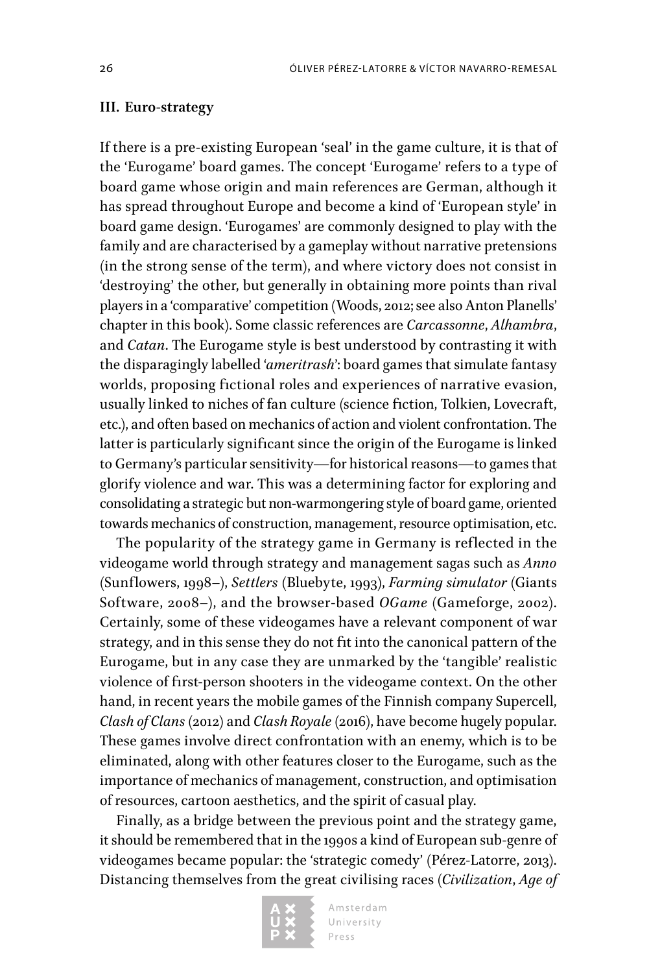#### **III. Euro-strategy**

If there is a pre-existing European 'seal' in the game culture, it is that of the 'Eurogame' board games. The concept 'Eurogame' refers to a type of board game whose origin and main references are German, although it has spread throughout Europe and become a kind of 'European style' in board game design. 'Eurogames' are commonly designed to play with the family and are characterised by a gameplay without narrative pretensions (in the strong sense of the term), and where victory does not consist in 'destroying' the other, but generally in obtaining more points than rival players in a 'comparative' competition (Woods, 2012; see also Anton Planells' chapter in this book). Some classic references are *Carcassonne*, *Alhambra*, and *Catan*. The Eurogame style is best understood by contrasting it with the disparagingly labelled '*ameritrash*': board games that simulate fantasy worlds, proposing fictional roles and experiences of narrative evasion, usually linked to niches of fan culture (science fiction, Tolkien, Lovecraft, etc.), and often based on mechanics of action and violent confrontation. The latter is particularly significant since the origin of the Eurogame is linked to Germany's particular sensitivity—for historical reasons—to games that glorify violence and war. This was a determining factor for exploring and consolidating a strategic but non-warmongering style of board game, oriented towards mechanics of construction, management, resource optimisation, etc.

The popularity of the strategy game in Germany is reflected in the videogame world through strategy and management sagas such as *Anno* (Sunflowers, 1998–), *Settlers* (Bluebyte, 1993), *Farming simulator* (Giants Software, 2008–), and the browser-based *OGame* (Gameforge, 2002). Certainly, some of these videogames have a relevant component of war strategy, and in this sense they do not fit into the canonical pattern of the Eurogame, but in any case they are unmarked by the 'tangible' realistic violence of first-person shooters in the videogame context. On the other hand, in recent years the mobile games of the Finnish company Supercell, *Clash of Clans* (2012) and *Clash Royale* (2016), have become hugely popular. These games involve direct confrontation with an enemy, which is to be eliminated, along with other features closer to the Eurogame, such as the importance of mechanics of management, construction, and optimisation of resources, cartoon aesthetics, and the spirit of casual play.

Finally, as a bridge between the previous point and the strategy game, it should be remembered that in the 1990s a kind of European sub-genre of videogames became popular: the 'strategic comedy' (Pérez-Latorre, 2013). Distancing themselves from the great civilising races (*Civilization*, *Age of* 

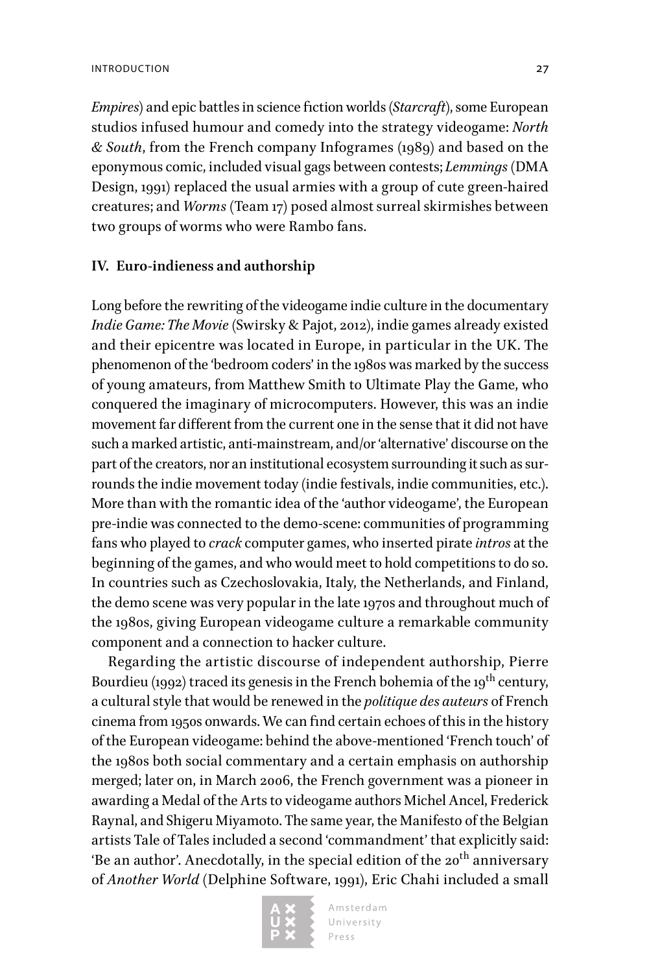*Empires*) and epic battles in science fiction worlds (*Starcraft*), some European studios infused humour and comedy into the strategy videogame: *North & South*, from the French company Infogrames (1989) and based on the eponymous comic, included visual gags between contests; *Lemmings* (DMA Design, 1991) replaced the usual armies with a group of cute green-haired creatures; and *Worms* (Team 17) posed almost surreal skirmishes between two groups of worms who were Rambo fans.

## **IV. Euro-indieness and authorship**

Long before the rewriting of the videogame indie culture in the documentary *Indie Game: The Movie* (Swirsky & Pajot, 2012), indie games already existed and their epicentre was located in Europe, in particular in the UK. The phenomenon of the 'bedroom coders' in the 1980s was marked by the success of young amateurs, from Matthew Smith to Ultimate Play the Game, who conquered the imaginary of microcomputers. However, this was an indie movement far different from the current one in the sense that it did not have such a marked artistic, anti-mainstream, and/or 'alternative' discourse on the part of the creators, nor an institutional ecosystem surrounding it such as surrounds the indie movement today (indie festivals, indie communities, etc.). More than with the romantic idea of the 'author videogame', the European pre-indie was connected to the demo-scene: communities of programming fans who played to *crack* computer games, who inserted pirate *intros* at the beginning of the games, and who would meet to hold competitions to do so. In countries such as Czechoslovakia, Italy, the Netherlands, and Finland, the demo scene was very popular in the late 1970s and throughout much of the 1980s, giving European videogame culture a remarkable community component and a connection to hacker culture.

Regarding the artistic discourse of independent authorship, Pierre Bourdieu (1992) traced its genesis in the French bohemia of the 19<sup>th</sup> century, a cultural style that would be renewed in the *politique des auteurs* of French cinema from 1950s onwards. We can find certain echoes of this in the history of the European videogame: behind the above-mentioned 'French touch' of the 1980s both social commentary and a certain emphasis on authorship merged; later on, in March 2006, the French government was a pioneer in awarding a Medal of the Arts to videogame authors Michel Ancel, Frederick Raynal, and Shigeru Miyamoto. The same year, the Manifesto of the Belgian artists Tale of Tales included a second 'commandment' that explicitly said: 'Be an author'. Anecdotally, in the special edition of the  $20^{th}$  anniversary of *Another World* (Delphine Software, 1991), Eric Chahi included a small

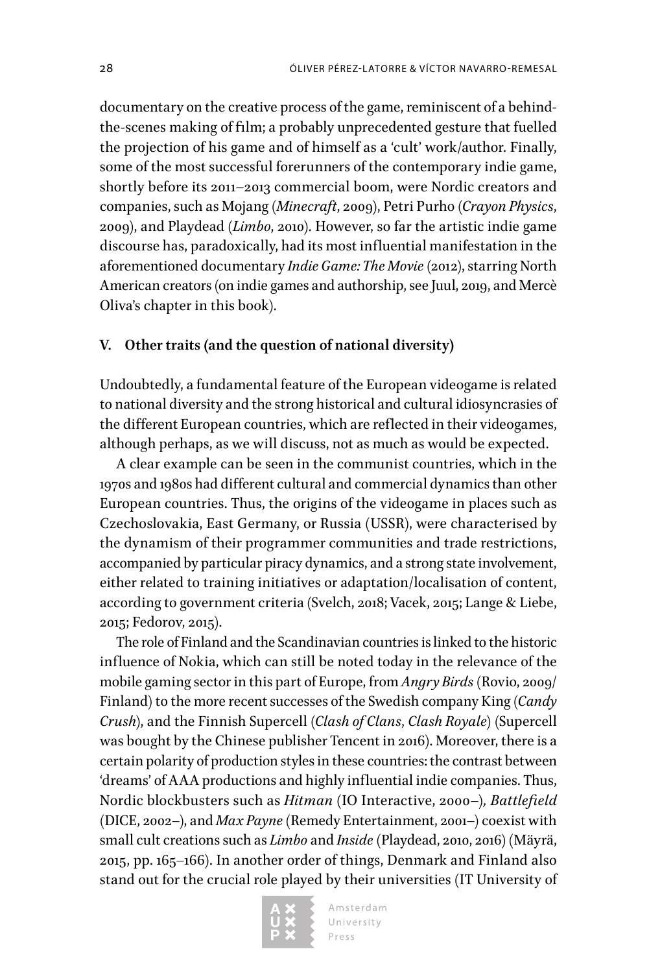documentary on the creative process of the game, reminiscent of a behindthe-scenes making of film; a probably unprecedented gesture that fuelled the projection of his game and of himself as a 'cult' work/author. Finally, some of the most successful forerunners of the contemporary indie game, shortly before its 2011–2013 commercial boom, were Nordic creators and companies, such as Mojang (*Minecraft*, 2009), Petri Purho (*Crayon Physics*, 2009), and Playdead (*Limbo*, 2010). However, so far the artistic indie game discourse has, paradoxically, had its most influential manifestation in the aforementioned documentary *Indie Game: The Movie* (2012), starring North American creators (on indie games and authorship, see Juul, 2019, and Mercè Oliva's chapter in this book).

#### **V. Other traits (and the question of national diversity)**

Undoubtedly, a fundamental feature of the European videogame is related to national diversity and the strong historical and cultural idiosyncrasies of the different European countries, which are reflected in their videogames, although perhaps, as we will discuss, not as much as would be expected.

A clear example can be seen in the communist countries, which in the 1970s and 1980s had different cultural and commercial dynamics than other European countries. Thus, the origins of the videogame in places such as Czechoslovakia, East Germany, or Russia (USSR), were characterised by the dynamism of their programmer communities and trade restrictions, accompanied by particular piracy dynamics, and a strong state involvement, either related to training initiatives or adaptation/localisation of content, according to government criteria (Svelch, 2018; Vacek, 2015; Lange & Liebe, 2015; Fedorov, 2015).

The role of Finland and the Scandinavian countries is linked to the historic influence of Nokia, which can still be noted today in the relevance of the mobile gaming sector in this part of Europe, from *Angry Birds* (Rovio, 2009/ Finland) to the more recent successes of the Swedish company King (*Candy Crush*), and the Finnish Supercell (*Clash of Clans*, *Clash Royale*) (Supercell was bought by the Chinese publisher Tencent in 2016). Moreover, there is a certain polarity of production styles in these countries: the contrast between 'dreams' of AAA productions and highly influential indie companies. Thus, Nordic blockbusters such as *Hitman* (IO Interactive, 2000–)*, Battlefield* (DICE, 2002–), and *Max Payne* (Remedy Entertainment, 2001–) coexist with small cult creations such as *Limbo* and *Inside* (Playdead, 2010, 2016)(Mäyrä, 2015, pp. 165–166). In another order of things, Denmark and Finland also stand out for the crucial role played by their universities (IT University of

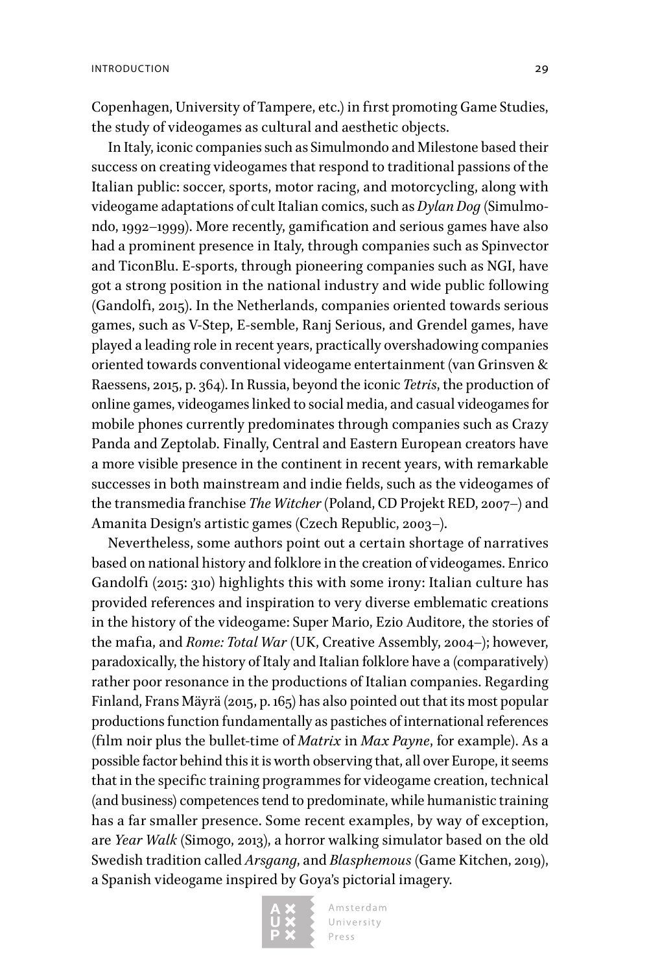Copenhagen, University of Tampere, etc.) in first promoting Game Studies, the study of videogames as cultural and aesthetic objects.

In Italy, iconic companies such as Simulmondo and Milestone based their success on creating videogames that respond to traditional passions of the Italian public: soccer, sports, motor racing, and motorcycling, along with videogame adaptations of cult Italian comics, such as *Dylan Dog* (Simulmondo, 1992–1999). More recently, gamification and serious games have also had a prominent presence in Italy, through companies such as Spinvector and TiconBlu. E-sports, through pioneering companies such as NGI, have got a strong position in the national industry and wide public following (Gandolfi, 2015). In the Netherlands, companies oriented towards serious games, such as V-Step, E-semble, Ranj Serious, and Grendel games, have played a leading role in recent years, practically overshadowing companies oriented towards conventional videogame entertainment (van Grinsven & Raessens, 2015, p. 364). In Russia, beyond the iconic *Tetris*, the production of online games, videogames linked to social media, and casual videogames for mobile phones currently predominates through companies such as Crazy Panda and Zeptolab. Finally, Central and Eastern European creators have a more visible presence in the continent in recent years, with remarkable successes in both mainstream and indie fields, such as the videogames of the transmedia franchise *The Witcher* (Poland, CD Projekt RED, 2007–) and Amanita Design's artistic games (Czech Republic, 2003–).

Nevertheless, some authors point out a certain shortage of narratives based on national history and folklore in the creation of videogames. Enrico Gandolfi (2015: 310) highlights this with some irony: Italian culture has provided references and inspiration to very diverse emblematic creations in the history of the videogame: Super Mario, Ezio Auditore, the stories of the mafia, and *Rome: Total War* (UK, Creative Assembly, 2004–); however, paradoxically, the history of Italy and Italian folklore have a (comparatively) rather poor resonance in the productions of Italian companies. Regarding Finland, Frans Mäyrä (2015, p. 165) has also pointed out that its most popular productions function fundamentally as pastiches of international references (film noir plus the bullet-time of *Matrix* in *Max Payne*, for example). As a possible factor behind this it is worth observing that, all over Europe, it seems that in the specific training programmes for videogame creation, technical (and business) competences tend to predominate, while humanistic training has a far smaller presence. Some recent examples, by way of exception, are *Year Walk* (Simogo, 2013), a horror walking simulator based on the old Swedish tradition called *Arsgang*, and *Blasphemous* (Game Kitchen, 2019), a Spanish videogame inspired by Goya's pictorial imagery.

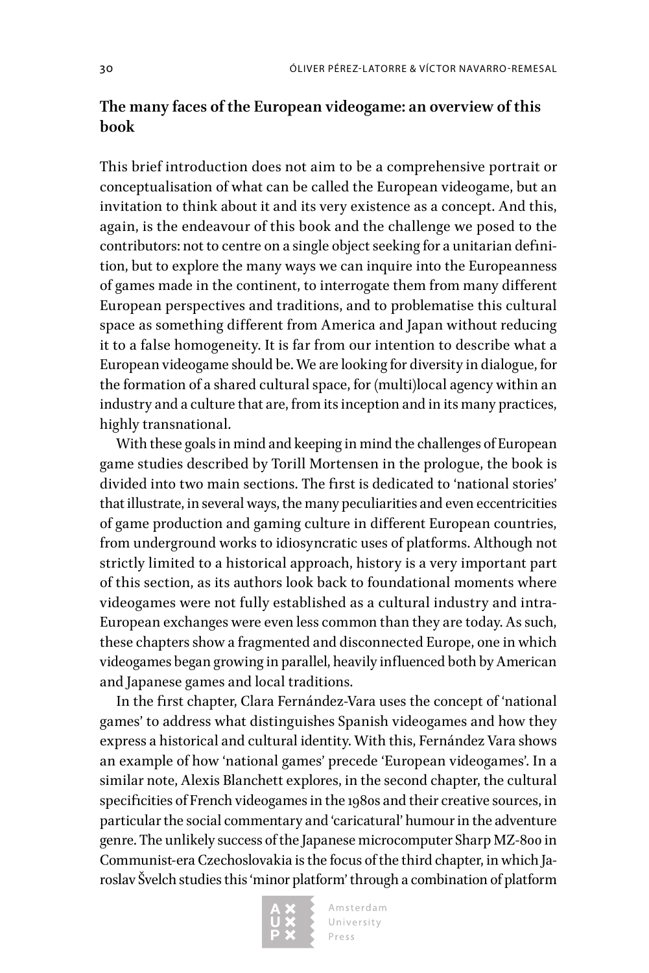# **The many faces of the European videogame: an overview of this book**

This brief introduction does not aim to be a comprehensive portrait or conceptualisation of what can be called the European videogame, but an invitation to think about it and its very existence as a concept. And this, again, is the endeavour of this book and the challenge we posed to the contributors: not to centre on a single object seeking for a unitarian definition, but to explore the many ways we can inquire into the Europeanness of games made in the continent, to interrogate them from many different European perspectives and traditions, and to problematise this cultural space as something different from America and Japan without reducing it to a false homogeneity. It is far from our intention to describe what a European videogame should be. We are looking for diversity in dialogue, for the formation of a shared cultural space, for (multi)local agency within an industry and a culture that are, from its inception and in its many practices, highly transnational.

With these goals in mind and keeping in mind the challenges of European game studies described by Torill Mortensen in the prologue, the book is divided into two main sections. The first is dedicated to 'national stories' that illustrate, in several ways, the many peculiarities and even eccentricities of game production and gaming culture in different European countries, from underground works to idiosyncratic uses of platforms. Although not strictly limited to a historical approach, history is a very important part of this section, as its authors look back to foundational moments where videogames were not fully established as a cultural industry and intra-European exchanges were even less common than they are today. As such, these chapters show a fragmented and disconnected Europe, one in which videogames began growing in parallel, heavily influenced both by American and Japanese games and local traditions.

In the first chapter, Clara Fernández-Vara uses the concept of 'national games' to address what distinguishes Spanish videogames and how they express a historical and cultural identity. With this, Fernández Vara shows an example of how 'national games' precede 'European videogames'. In a similar note, Alexis Blanchett explores, in the second chapter, the cultural specificities of French videogames in the 1980s and their creative sources, in particular the social commentary and 'caricatural' humour in the adventure genre. The unlikely success of the Japanese microcomputer Sharp MZ-800 in Communist-era Czechoslovakia is the focus of the third chapter, in which Jaroslav Švelch studies this 'minor platform' through a combination of platform

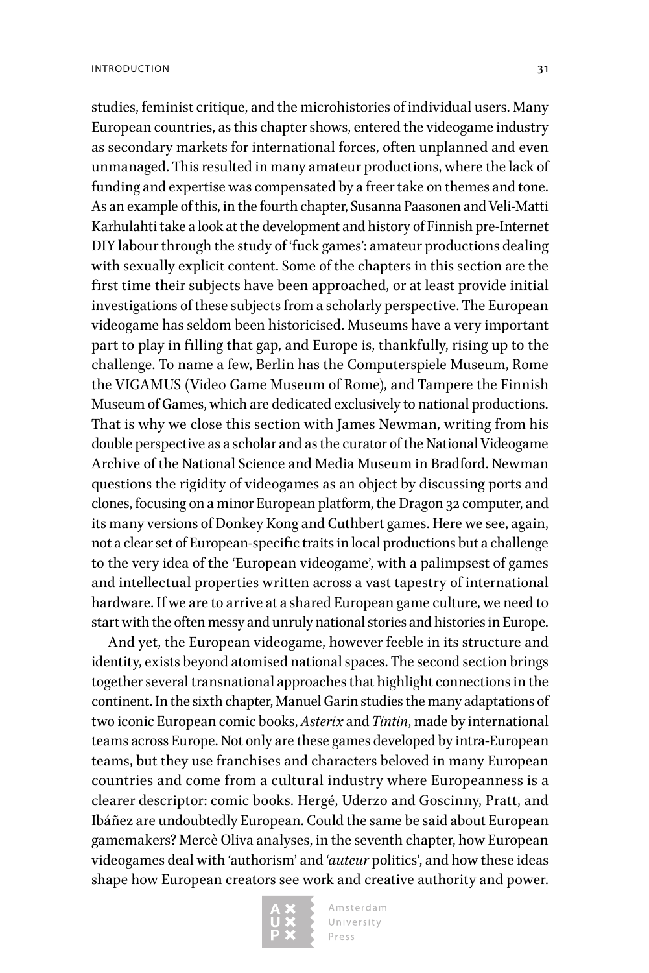studies, feminist critique, and the microhistories of individual users. Many European countries, as this chapter shows, entered the videogame industry as secondary markets for international forces, often unplanned and even unmanaged. This resulted in many amateur productions, where the lack of funding and expertise was compensated by a freer take on themes and tone. As an example of this, in the fourth chapter, Susanna Paasonen and Veli-Matti Karhulahti take a look at the development and history of Finnish pre-Internet DIY labour through the study of 'fuck games': amateur productions dealing

with sexually explicit content. Some of the chapters in this section are the first time their subjects have been approached, or at least provide initial investigations of these subjects from a scholarly perspective. The European videogame has seldom been historicised. Museums have a very important part to play in filling that gap, and Europe is, thankfully, rising up to the challenge. To name a few, Berlin has the Computerspiele Museum, Rome the VIGAMUS (Video Game Museum of Rome), and Tampere the Finnish Museum of Games, which are dedicated exclusively to national productions. That is why we close this section with James Newman, writing from his double perspective as a scholar and as the curator of the National Videogame Archive of the National Science and Media Museum in Bradford. Newman questions the rigidity of videogames as an object by discussing ports and clones, focusing on a minor European platform, the Dragon 32 computer, and its many versions of Donkey Kong and Cuthbert games. Here we see, again, not a clear set of European-specific traits in local productions but a challenge to the very idea of the 'European videogame', with a palimpsest of games and intellectual properties written across a vast tapestry of international hardware. If we are to arrive at a shared European game culture, we need to start with the often messy and unruly national stories and histories in Europe.

And yet, the European videogame, however feeble in its structure and identity, exists beyond atomised national spaces. The second section brings together several transnational approaches that highlight connections in the continent. In the sixth chapter, Manuel Garin studies the many adaptations of two iconic European comic books, *Asterix* and *Tintin*, made by international teams across Europe. Not only are these games developed by intra-European teams, but they use franchises and characters beloved in many European countries and come from a cultural industry where Europeanness is a clearer descriptor: comic books. Hergé, Uderzo and Goscinny, Pratt, and Ibáñez are undoubtedly European. Could the same be said about European gamemakers? Mercè Oliva analyses, in the seventh chapter, how European videogames deal with 'authorism' and '*auteur* politics', and how these ideas shape how European creators see work and creative authority and power.

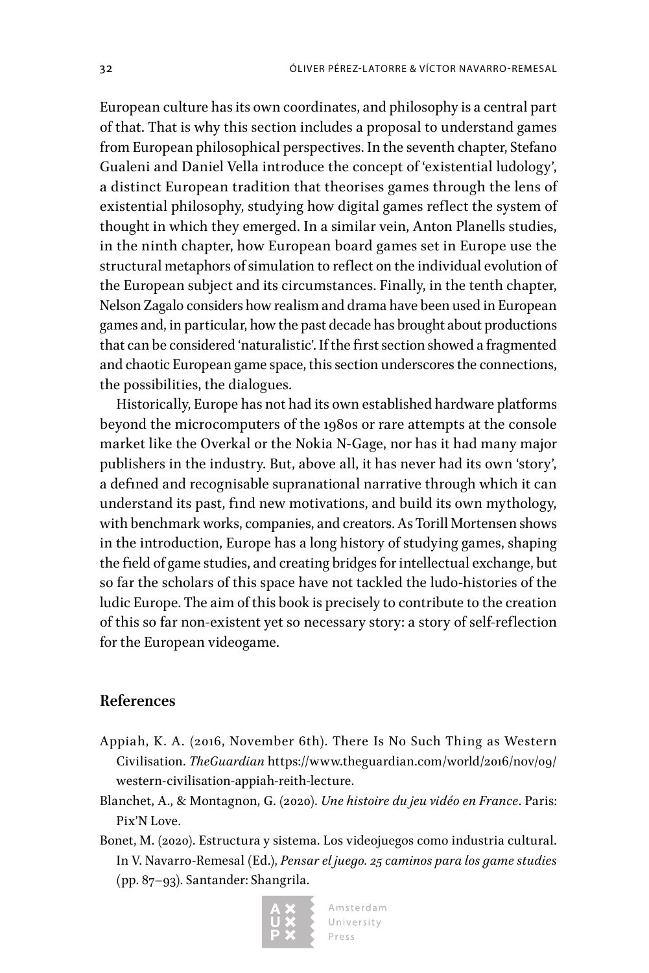European culture has its own coordinates, and philosophy is a central part of that. That is why this section includes a proposal to understand games from European philosophical perspectives. In the seventh chapter, Stefano Gualeni and Daniel Vella introduce the concept of 'existential ludology', a distinct European tradition that theorises games through the lens of existential philosophy, studying how digital games reflect the system of thought in which they emerged. In a similar vein, Anton Planells studies, in the ninth chapter, how European board games set in Europe use the structural metaphors of simulation to reflect on the individual evolution of the European subject and its circumstances. Finally, in the tenth chapter, Nelson Zagalo considers how realism and drama have been used in European games and, in particular, how the past decade has brought about productions that can be considered 'naturalistic'. If the first section showed a fragmented and chaotic European game space, this section underscores the connections, the possibilities, the dialogues.

Historically, Europe has not had its own established hardware platforms beyond the microcomputers of the 1980s or rare attempts at the console market like the Overkal or the Nokia N-Gage, nor has it had many major publishers in the industry. But, above all, it has never had its own 'story', a defined and recognisable supranational narrative through which it can understand its past, find new motivations, and build its own mythology, with benchmark works, companies, and creators. As Torill Mortensen shows in the introduction, Europe has a long history of studying games, shaping the field of game studies, and creating bridges for intellectual exchange, but so far the scholars of this space have not tackled the ludo-histories of the ludic Europe. The aim of this book is precisely to contribute to the creation of this so far non-existent yet so necessary story: a story of self-reflection for the European videogame.

## **References**

- Appiah, K. A. (2016, November 6th). There Is No Such Thing as Western Civilisation. *TheGuardian* [https://www.theguardian.com/world/2016/nov/09/](https://www.theguardian.com/world/2016/nov/09/western-civilisation-appiah-reith-lecture) [western-civilisation-appiah-reith-lecture.](https://www.theguardian.com/world/2016/nov/09/western-civilisation-appiah-reith-lecture)
- Blanchet, A., & Montagnon, G. (2020). *Une histoire du jeu vidéo en France*. Paris: Pix'N Love.
- Bonet, M. (2020). Estructura y sistema. Los videojuegos como industria cultural. In V. Navarro-Remesal (Ed.), *Pensar el juego. 25 caminos para los game studies* (pp. 87–93). Santander: Shangrila.

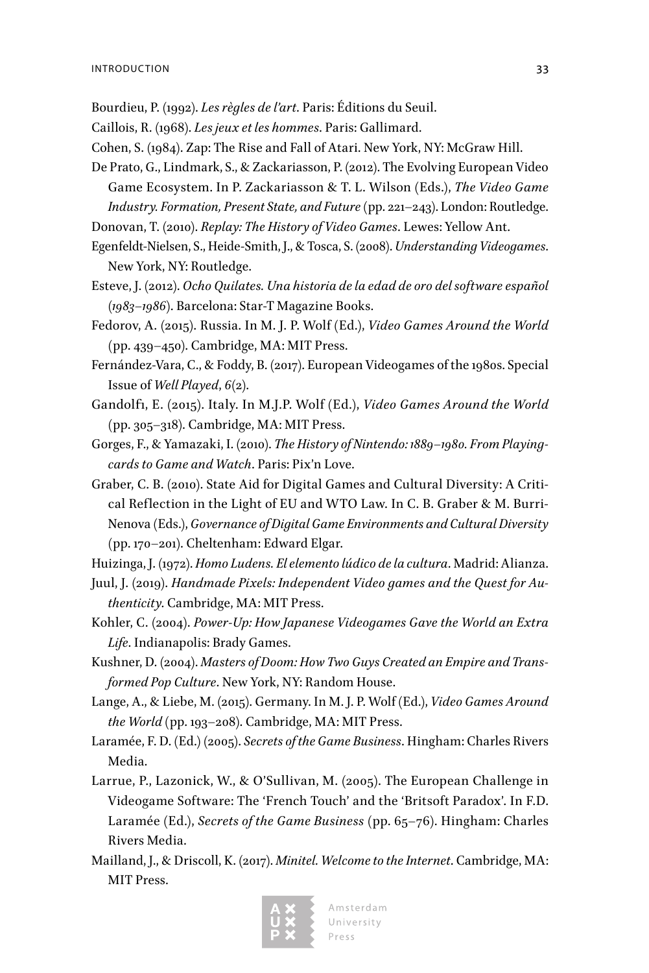- Bourdieu, P. (1992). *Les règles de l'art*. Paris: Éditions du Seuil.
- Caillois, R. (1968). *Les jeux et les hommes*. Paris: Gallimard.
- Cohen, S. (1984). Zap: The Rise and Fall of Atari. New York, NY: McGraw Hill.
- De Prato, G., Lindmark, S., & Zackariasson, P. (2012). The Evolving European Video Game Ecosystem. In P. Zackariasson & T. L. Wilson (Eds.), *The Video Game Industry. Formation, Present State, and Future* (pp. 221–243). London: Routledge.
- Donovan, T. (2010). *Replay: The History of Video Games*. Lewes: Yellow Ant.
- Egenfeldt-Nielsen, S., Heide-Smith, J., & Tosca, S. (2008). *Understanding Videogames*. New York, NY: Routledge.
- Esteve, J. (2012). *Ocho Quilates. Una historia de la edad de oro del software español (1983–1986)*. Barcelona: Star-T Magazine Books.
- Fedorov, A. (2015). Russia. In M. J. P. Wolf (Ed.), *Video Games Around the World*  (pp. 439–450). Cambridge, MA: MIT Press.
- Fernández-Vara, C., & Foddy, B. (2017). European Videogames of the 1980s. Special Issue of *Well Played*, *6*(2).
- Gandolfi, E. (2015). Italy. In M.J.P. Wolf (Ed.), *Video Games Around the World* (pp. 305–318). Cambridge, MA: MIT Press.
- Gorges, F., & Yamazaki, I. (2010). *The History of Nintendo: 1889–1980. From Playingcards to Game and Watch*. Paris: Pix'n Love.
- Graber, C. B. (2010). State Aid for Digital Games and Cultural Diversity: A Critical Reflection in the Light of EU and WTO Law. In C. B. Graber & M. Burri-Nenova (Eds.), *Governance of Digital Game Environments and Cultural Diversity*  (pp. 170–201). Cheltenham: Edward Elgar.
- Huizinga, J. (1972). *Homo Ludens. El elemento lúdico de la cultura*. Madrid: Alianza.
- Juul, J. (2019). *Handmade Pixels: Independent Video games and the Quest for Authenticity*. Cambridge, MA: MIT Press.
- Kohler, C. (2004). *Power-Up: How Japanese Videogames Gave the World an Extra Life*. Indianapolis: Brady Games.
- Kushner, D. (2004). *Masters of Doom: How Two Guys Created an Empire and Transformed Pop Culture*. New York, NY: Random House.
- Lange, A., & Liebe, M. (2015). Germany. In M. J. P. Wolf (Ed.), *Video Games Around the World* (pp. 193–208). Cambridge, MA: MIT Press.
- Laramée, F. D. (Ed.) (2005). *Secrets of the Game Business*. Hingham: Charles Rivers Media.
- Larrue, P., Lazonick, W., & O'Sullivan, M. (2005). The European Challenge in Videogame Software: The 'French Touch' and the 'Britsoft Paradox'. In F.D. Laramée (Ed.), *Secrets of the Game Business* (pp. 65–76). Hingham: Charles Rivers Media.
- Mailland, J., & Driscoll, K. (2017). *Minitel. Welcome to the Internet*. Cambridge, MA: MIT Press.

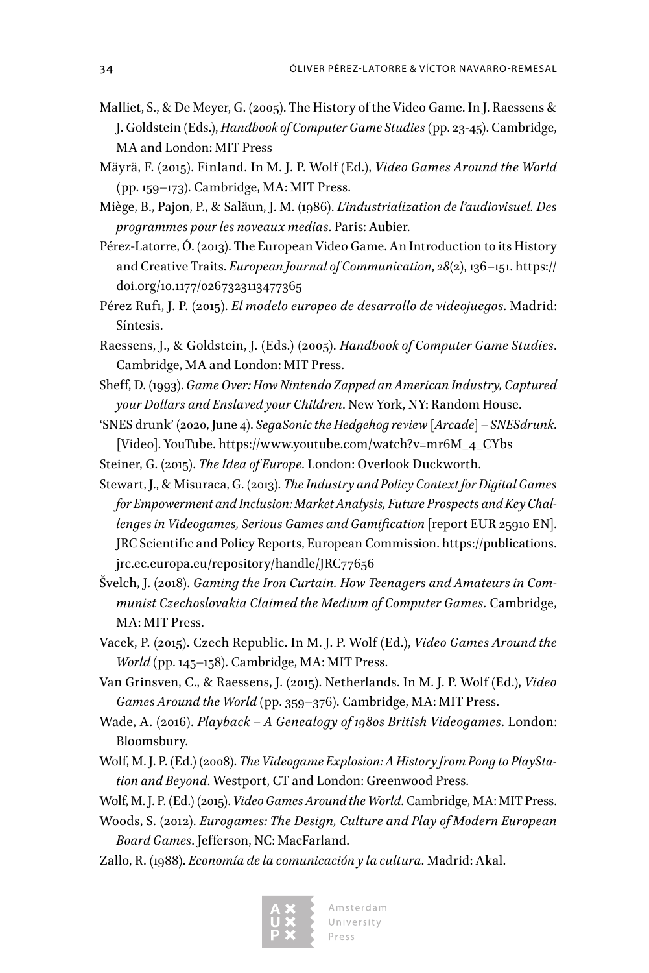- Malliet, S., & De Meyer, G. (2005). The History of the Video Game. In J. Raessens & J. Goldstein (Eds.), *Handbook of Computer Game Studies* (pp. 23-45). Cambridge, MA and London: MIT Press
- Mäyrä, F. (2015). Finland. In M. J. P. Wolf (Ed.), *Video Games Around the World*  (pp. 159–173). Cambridge, MA: MIT Press.
- Miège, B., Pajon, P., & Saläun, J. M. (1986). *L'industrialization de l'audiovisuel. Des programmes pour les noveaux medias*. Paris: Aubier.
- Pérez-Latorre, Ó. (2013). The European Video Game. An Introduction to its History and Creative Traits. *European Journal of Communication*, *28*(2), 136–151. [https://](https://doi.org/10.1177/0267323113477365) [doi.org/10.1177/0267323113477365](https://doi.org/10.1177/0267323113477365)
- Pérez Rufi, J. P. (2015). *El modelo europeo de desarrollo de videojuegos*. Madrid: Síntesis.
- Raessens, J., & Goldstein, J. (Eds.) (2005). *Handbook of Computer Game Studies*. Cambridge, MA and London: MIT Press.
- Sheff, D. (1993). *Game Over: How Nintendo Zapped an American Industry, Captured your Dollars and Enslaved your Children*. New York, NY: Random House.
- 'SNES drunk' (2020, June 4). *SegaSonic the Hedgehog review [Arcade] ‒ SNESdrunk*. [Video]. YouTube. [https://www.youtube.com/watch?v=mr6M\\_4\\_CYbs](https://www.youtube.com/watch?v=mr6M_4_CYbs)
- Steiner, G. (2015). *The Idea of Europe*. London: Overlook Duckworth.
- Stewart, J., & Misuraca, G. (2013). *The Industry and Policy Context for Digital Games for Empowerment and Inclusion: Market Analysis, Future Prospects and Key Challenges in Videogames, Serious Games and Gamification* [report EUR 25910 EN]. JRC Scientific and Policy Reports, European Commission. [https://publications.](https://publications.jrc.ec.europa.eu/repository/handle/JRC77656) [jrc.ec.europa.eu/repository/handle/JRC77656](https://publications.jrc.ec.europa.eu/repository/handle/JRC77656)
- Švelch, J. (2018). *Gaming the Iron Curtain. How Teenagers and Amateurs in Communist Czechoslovakia Claimed the Medium of Computer Games*. Cambridge, MA: MIT Press.
- Vacek, P. (2015). Czech Republic. In M. J. P. Wolf (Ed.), *Video Games Around the World* (pp. 145–158). Cambridge, MA: MIT Press.
- Van Grinsven, C., & Raessens, J. (2015). Netherlands. In M. J. P. Wolf (Ed.), *Video Games Around the World* (pp. 359–376). Cambridge, MA: MIT Press.
- Wade, A. (2016). *Playback A Genealogy of 1980s British Videogames*. London: Bloomsbury.
- Wolf, M. J. P. (Ed.) (2008). *The Videogame Explosion: A History from Pong to PlayStation and Beyond*. Westport, CT and London: Greenwood Press.
- Wolf, M. J. P. (Ed.) (2015). *Video Games Around the World*. Cambridge, MA: MIT Press.
- Woods, S. (2012). *Eurogames: The Design, Culture and Play of Modern European Board Games*. Jefferson, NC: MacFarland.
- Zallo, R. (1988). *Economía de la comunicación y la cultura*. Madrid: Akal.